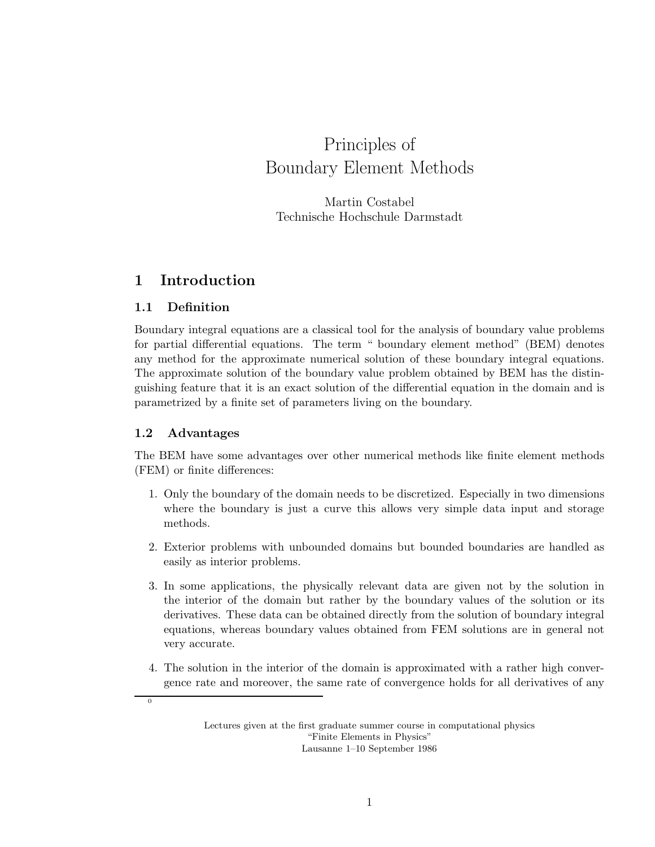# Principles of Boundary Element Methods

Martin Costabel Technische Hochschule Darmstadt

## 1 Introduction

### 1.1 Definition

Boundary integral equations are a classical tool for the analysis of boundary value problems for partial differential equations. The term " boundary element method" (BEM) denotes any method for the approximate numerical solution of these boundary integral equations. The approximate solution of the boundary value problem obtained by BEM has the distinguishing feature that it is an exact solution of the differential equation in the domain and is parametrized by a finite set of parameters living on the boundary.

### 1.2 Advantages

 $\overline{0}$ 

The BEM have some advantages over other numerical methods like finite element methods (FEM) or finite differences:

- 1. Only the boundary of the domain needs to be discretized. Especially in two dimensions where the boundary is just a curve this allows very simple data input and storage methods.
- 2. Exterior problems with unbounded domains but bounded boundaries are handled as easily as interior problems.
- 3. In some applications, the physically relevant data are given not by the solution in the interior of the domain but rather by the boundary values of the solution or its derivatives. These data can be obtained directly from the solution of boundary integral equations, whereas boundary values obtained from FEM solutions are in general not very accurate.
- 4. The solution in the interior of the domain is approximated with a rather high convergence rate and moreover, the same rate of convergence holds for all derivatives of any

Lectures given at the first graduate summer course in computational physics "Finite Elements in Physics" Lausanne 1–10 September 1986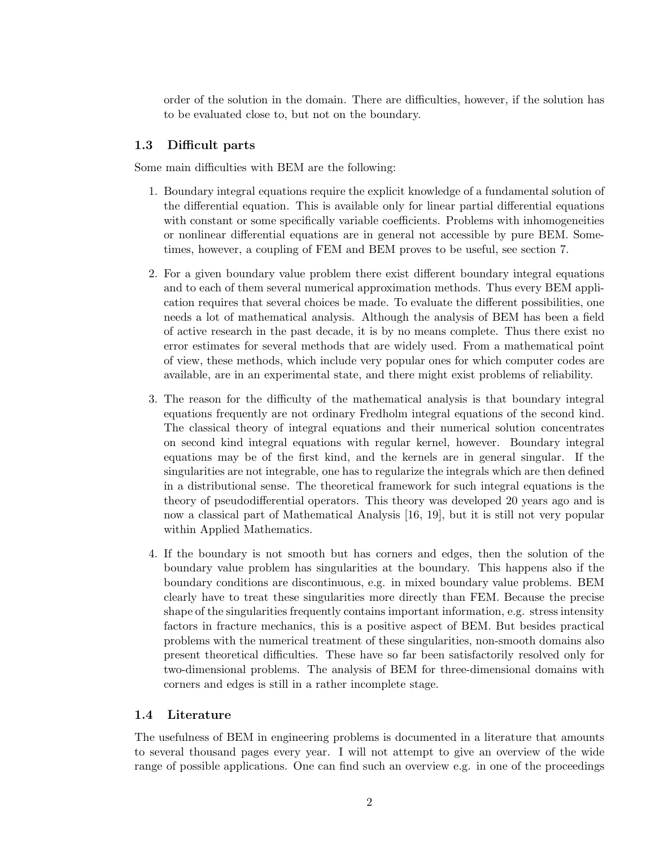order of the solution in the domain. There are difficulties, however, if the solution has to be evaluated close to, but not on the boundary.

### 1.3 Difficult parts

Some main difficulties with BEM are the following:

- 1. Boundary integral equations require the explicit knowledge of a fundamental solution of the differential equation. This is available only for linear partial differential equations with constant or some specifically variable coefficients. Problems with inhomogeneities or nonlinear differential equations are in general not accessible by pure BEM. Sometimes, however, a coupling of FEM and BEM proves to be useful, see section 7.
- 2. For a given boundary value problem there exist different boundary integral equations and to each of them several numerical approximation methods. Thus every BEM application requires that several choices be made. To evaluate the different possibilities, one needs a lot of mathematical analysis. Although the analysis of BEM has been a field of active research in the past decade, it is by no means complete. Thus there exist no error estimates for several methods that are widely used. From a mathematical point of view, these methods, which include very popular ones for which computer codes are available, are in an experimental state, and there might exist problems of reliability.
- 3. The reason for the difficulty of the mathematical analysis is that boundary integral equations frequently are not ordinary Fredholm integral equations of the second kind. The classical theory of integral equations and their numerical solution concentrates on second kind integral equations with regular kernel, however. Boundary integral equations may be of the first kind, and the kernels are in general singular. If the singularities are not integrable, one has to regularize the integrals which are then defined in a distributional sense. The theoretical framework for such integral equations is the theory of pseudodifferential operators. This theory was developed 20 years ago and is now a classical part of Mathematical Analysis [16, 19], but it is still not very popular within Applied Mathematics.
- 4. If the boundary is not smooth but has corners and edges, then the solution of the boundary value problem has singularities at the boundary. This happens also if the boundary conditions are discontinuous, e.g. in mixed boundary value problems. BEM clearly have to treat these singularities more directly than FEM. Because the precise shape of the singularities frequently contains important information, e.g. stress intensity factors in fracture mechanics, this is a positive aspect of BEM. But besides practical problems with the numerical treatment of these singularities, non-smooth domains also present theoretical difficulties. These have so far been satisfactorily resolved only for two-dimensional problems. The analysis of BEM for three-dimensional domains with corners and edges is still in a rather incomplete stage.

### 1.4 Literature

The usefulness of BEM in engineering problems is documented in a literature that amounts to several thousand pages every year. I will not attempt to give an overview of the wide range of possible applications. One can find such an overview e.g. in one of the proceedings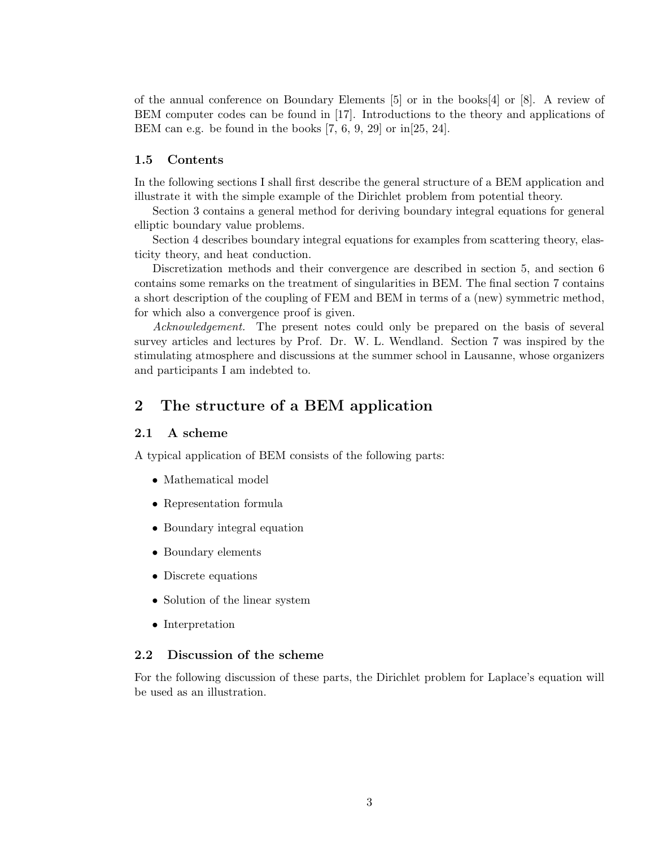of the annual conference on Boundary Elements [5] or in the books[4] or [8]. A review of BEM computer codes can be found in [17]. Introductions to the theory and applications of BEM can e.g. be found in the books [7, 6, 9, 29] or in[25, 24].

### 1.5 Contents

In the following sections I shall first describe the general structure of a BEM application and illustrate it with the simple example of the Dirichlet problem from potential theory.

Section 3 contains a general method for deriving boundary integral equations for general elliptic boundary value problems.

Section 4 describes boundary integral equations for examples from scattering theory, elasticity theory, and heat conduction.

Discretization methods and their convergence are described in section 5, and section 6 contains some remarks on the treatment of singularities in BEM. The final section 7 contains a short description of the coupling of FEM and BEM in terms of a (new) symmetric method, for which also a convergence proof is given.

Acknowledgement. The present notes could only be prepared on the basis of several survey articles and lectures by Prof. Dr. W. L. Wendland. Section 7 was inspired by the stimulating atmosphere and discussions at the summer school in Lausanne, whose organizers and participants I am indebted to.

### 2 The structure of a BEM application

### 2.1 A scheme

A typical application of BEM consists of the following parts:

- Mathematical model
- Representation formula
- Boundary integral equation
- Boundary elements
- Discrete equations
- Solution of the linear system
- Interpretation

### 2.2 Discussion of the scheme

For the following discussion of these parts, the Dirichlet problem for Laplace's equation will be used as an illustration.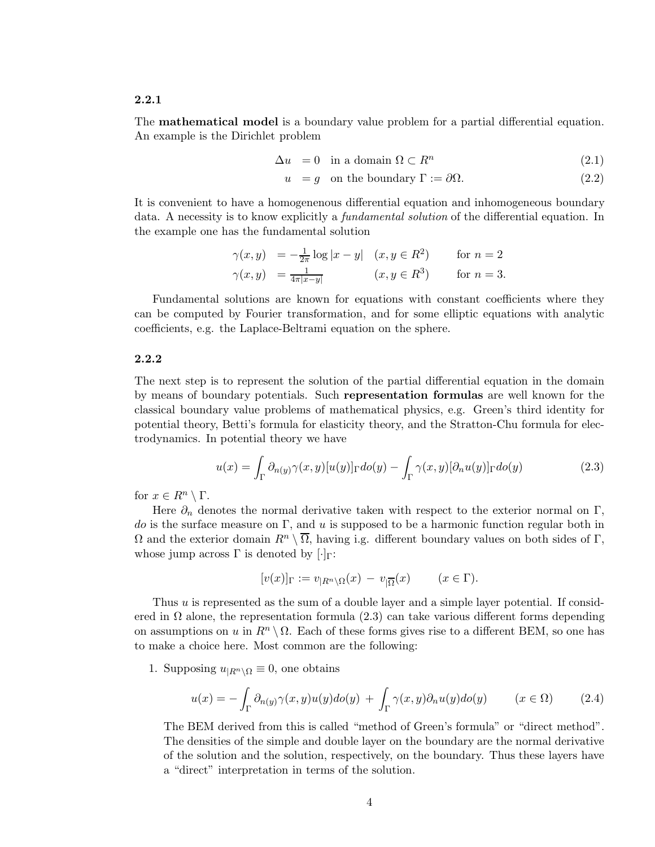### 2.2.1

The mathematical model is a boundary value problem for a partial differential equation. An example is the Dirichlet problem

$$
\Delta u = 0 \quad \text{in a domain } \Omega \subset R^n \tag{2.1}
$$

 $u = g$  on the boundary  $\Gamma := \partial \Omega$ . (2.2)

It is convenient to have a homogenenous differential equation and inhomogeneous boundary data. A necessity is to know explicitly a fundamental solution of the differential equation. In the example one has the fundamental solution

$$
\gamma(x,y) = -\frac{1}{2\pi} \log|x-y| \quad (x, y \in R^2) \quad \text{for } n=2
$$
  

$$
\gamma(x,y) = \frac{1}{4\pi|x-y|} \quad (x, y \in R^3) \quad \text{for } n=3.
$$

Fundamental solutions are known for equations with constant coefficients where they can be computed by Fourier transformation, and for some elliptic equations with analytic coefficients, e.g. the Laplace-Beltrami equation on the sphere.

#### 2.2.2

The next step is to represent the solution of the partial differential equation in the domain by means of boundary potentials. Such representation formulas are well known for the classical boundary value problems of mathematical physics, e.g. Green's third identity for potential theory, Betti's formula for elasticity theory, and the Stratton-Chu formula for electrodynamics. In potential theory we have

$$
u(x) = \int_{\Gamma} \partial_{n(y)} \gamma(x, y) [u(y)]_{\Gamma} do(y) - \int_{\Gamma} \gamma(x, y) [\partial_n u(y)]_{\Gamma} do(y)
$$
\n(2.3)

for  $x \in R^n \setminus \Gamma$ .

Here  $\partial_n$  denotes the normal derivative taken with respect to the exterior normal on Γ, do is the surface measure on  $\Gamma$ , and u is supposed to be a harmonic function regular both in  $\Omega$  and the exterior domain  $R^n \setminus \overline{\Omega}$ , having i.g. different boundary values on both sides of Γ, whose jump across  $\Gamma$  is denoted by  $[\cdot]_{\Gamma}$ :

$$
[v(x)]_{\Gamma} := v_{|R^n \setminus \Omega}(x) - v_{|\overline{\Omega}}(x) \qquad (x \in \Gamma).
$$

Thus u is represented as the sum of a double layer and a simple layer potential. If consider ered in  $\Omega$  alone, the representation formula (2.3) can take various different forms depending on assumptions on u in  $R^n \setminus \Omega$ . Each of these forms gives rise to a different BEM, so one has to make a choice here. Most common are the following:

1. Supposing  $u_{|R^n \setminus \Omega} \equiv 0$ , one obtains

$$
u(x) = -\int_{\Gamma} \partial_{n(y)} \gamma(x, y) u(y) d\sigma(y) + \int_{\Gamma} \gamma(x, y) \partial_{n} u(y) d\sigma(y) \qquad (x \in \Omega) \tag{2.4}
$$

The BEM derived from this is called "method of Green's formula" or "direct method". The densities of the simple and double layer on the boundary are the normal derivative of the solution and the solution, respectively, on the boundary. Thus these layers have a "direct" interpretation in terms of the solution.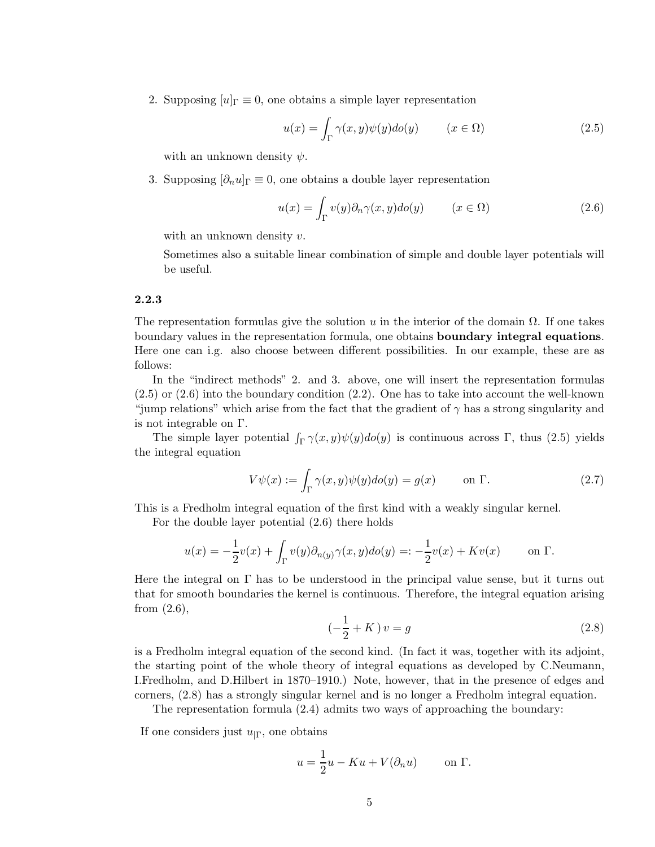2. Supposing  $[u]_{\Gamma} \equiv 0$ , one obtains a simple layer representation

$$
u(x) = \int_{\Gamma} \gamma(x, y)\psi(y)d\sigma(y) \qquad (x \in \Omega)
$$
\n(2.5)

with an unknown density  $\psi$ .

3. Supposing  $[\partial_n u]_{\Gamma} \equiv 0$ , one obtains a double layer representation

$$
u(x) = \int_{\Gamma} v(y) \partial_n \gamma(x, y) d\sigma(y) \qquad (x \in \Omega)
$$
 (2.6)

with an unknown density  $v$ .

Sometimes also a suitable linear combination of simple and double layer potentials will be useful.

#### 2.2.3

The representation formulas give the solution u in the interior of the domain  $\Omega$ . If one takes boundary values in the representation formula, one obtains boundary integral equations. Here one can i.g. also choose between different possibilities. In our example, these are as follows:

In the "indirect methods" 2. and 3. above, one will insert the representation formulas (2.5) or (2.6) into the boundary condition (2.2). One has to take into account the well-known "jump relations" which arise from the fact that the gradient of  $\gamma$  has a strong singularity and is not integrable on Γ.

The simple layer potential  $\int_{\Gamma} \gamma(x, y) \psi(y) d\sigma(y)$  is continuous across  $\Gamma$ , thus (2.5) yields the integral equation

$$
V\psi(x) := \int_{\Gamma} \gamma(x, y)\psi(y)d\sigma(y) = g(x) \quad \text{on } \Gamma.
$$
 (2.7)

This is a Fredholm integral equation of the first kind with a weakly singular kernel.

For the double layer potential (2.6) there holds

$$
u(x) = -\frac{1}{2}v(x) + \int_{\Gamma} v(y)\partial_{n(y)}\gamma(x,y)d\sigma(y) =: -\frac{1}{2}v(x) + Kv(x) \quad \text{on } \Gamma.
$$

Here the integral on  $\Gamma$  has to be understood in the principal value sense, but it turns out that for smooth boundaries the kernel is continuous. Therefore, the integral equation arising from  $(2.6)$ ,

$$
\left(-\frac{1}{2} + K\right)v = g\tag{2.8}
$$

is a Fredholm integral equation of the second kind. (In fact it was, together with its adjoint, the starting point of the whole theory of integral equations as developed by C.Neumann, I.Fredholm, and D.Hilbert in 1870–1910.) Note, however, that in the presence of edges and corners, (2.8) has a strongly singular kernel and is no longer a Fredholm integral equation.

The representation formula (2.4) admits two ways of approaching the boundary:

If one considers just  $u_{\mid \Gamma}$ , one obtains

$$
u = \frac{1}{2}u - Ku + V(\partial_n u) \quad \text{on } \Gamma.
$$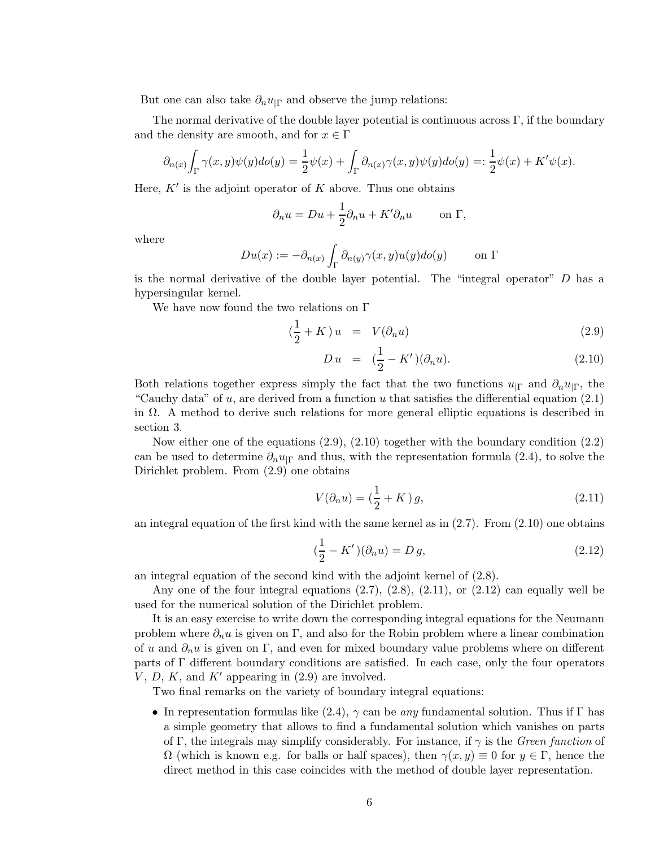But one can also take  $\partial_n u_{\vert \Gamma}$  and observe the jump relations:

The normal derivative of the double layer potential is continuous across  $\Gamma$ , if the boundary and the density are smooth, and for  $x \in \Gamma$ 

$$
\partial_{n(x)} \int_{\Gamma} \gamma(x, y) \psi(y) d\sigma(y) = \frac{1}{2} \psi(x) + \int_{\Gamma} \partial_{n(x)} \gamma(x, y) \psi(y) d\sigma(y) =: \frac{1}{2} \psi(x) + K' \psi(x).
$$

Here,  $K'$  is the adjoint operator of  $K$  above. Thus one obtains

$$
\partial_n u = Du + \frac{1}{2}\partial_n u + K'\partial_n u \qquad \text{on } \Gamma,
$$

where

$$
Du(x) := -\partial_{n(x)} \int_{\Gamma} \partial_{n(y)} \gamma(x, y) u(y) d\sigma(y) \qquad \text{on } \Gamma
$$

is the normal derivative of the double layer potential. The "integral operator" D has a hypersingular kernel.

We have now found the two relations on Γ

$$
\left(\frac{1}{2} + K\right)u = V(\partial_n u) \tag{2.9}
$$

$$
Du = (\frac{1}{2} - K')(\partial_n u). \tag{2.10}
$$

Both relations together express simply the fact that the two functions  $u_{\Gamma}$  and  $\partial_n u_{\Gamma}$ , the "Cauchy data" of u, are derived from a function u that satisfies the differential equation  $(2.1)$ in  $\Omega$ . A method to derive such relations for more general elliptic equations is described in section 3.

Now either one of the equations  $(2.9)$ ,  $(2.10)$  together with the boundary condition  $(2.2)$ can be used to determine  $\partial_n u_{\Gamma}$  and thus, with the representation formula (2.4), to solve the Dirichlet problem. From (2.9) one obtains

$$
V(\partial_n u) = \left(\frac{1}{2} + K\right)g,\tag{2.11}
$$

an integral equation of the first kind with the same kernel as in  $(2.7)$ . From  $(2.10)$  one obtains

$$
(\frac{1}{2} - K')(\partial_n u) = D g,
$$
\n(2.12)

an integral equation of the second kind with the adjoint kernel of (2.8).

Any one of the four integral equations  $(2.7), (2.8), (2.11),$  or  $(2.12)$  can equally well be used for the numerical solution of the Dirichlet problem.

It is an easy exercise to write down the corresponding integral equations for the Neumann problem where  $\partial_n u$  is given on Γ, and also for the Robin problem where a linear combination of u and  $\partial_n u$  is given on Γ, and even for mixed boundary value problems where on different parts of Γ different boundary conditions are satisfied. In each case, only the four operators V, D, K, and K' appearing in  $(2.9)$  are involved.

Two final remarks on the variety of boundary integral equations:

• In representation formulas like  $(2.4)$ ,  $\gamma$  can be any fundamental solution. Thus if  $\Gamma$  has a simple geometry that allows to find a fundamental solution which vanishes on parts of Γ, the integrals may simplify considerably. For instance, if  $\gamma$  is the *Green function* of  $\Omega$  (which is known e.g. for balls or half spaces), then  $\gamma(x,y) \equiv 0$  for  $y \in \Gamma$ , hence the direct method in this case coincides with the method of double layer representation.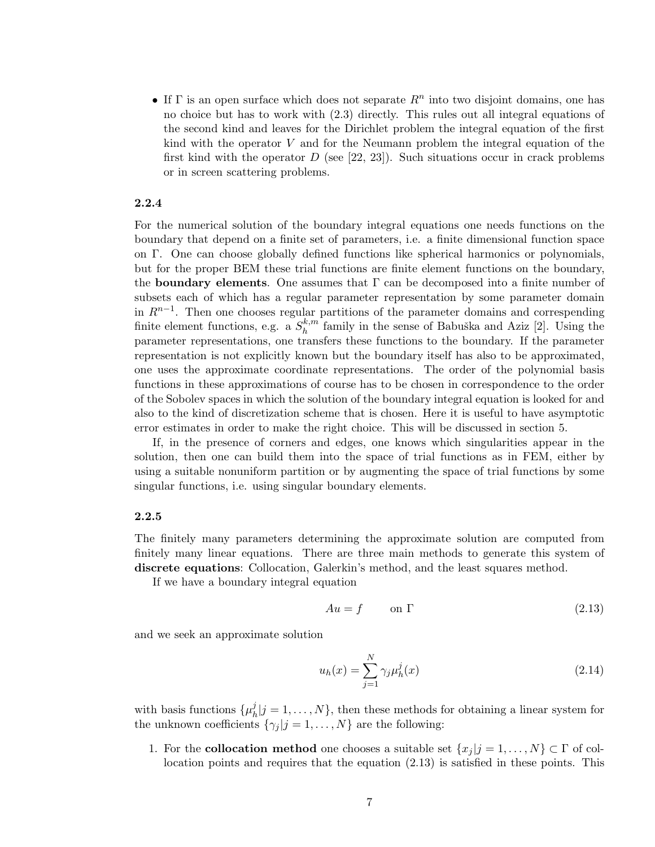• If  $\Gamma$  is an open surface which does not separate  $R<sup>n</sup>$  into two disjoint domains, one has no choice but has to work with (2.3) directly. This rules out all integral equations of the second kind and leaves for the Dirichlet problem the integral equation of the first kind with the operator V and for the Neumann problem the integral equation of the first kind with the operator  $D$  (see [22, 23]). Such situations occur in crack problems or in screen scattering problems.

#### 2.2.4

For the numerical solution of the boundary integral equations one needs functions on the boundary that depend on a finite set of parameters, i.e. a finite dimensional function space on Γ. One can choose globally defined functions like spherical harmonics or polynomials, but for the proper BEM these trial functions are finite element functions on the boundary, the **boundary elements**. One assumes that  $\Gamma$  can be decomposed into a finite number of subsets each of which has a regular parameter representation by some parameter domain in  $R^{n-1}$ . Then one chooses regular partitions of the parameter domains and correspending finite element functions, e.g. a  $S_h^{k,m}$  $h_h^{k,m}$  family in the sense of Babuška and Aziz [2]. Using the parameter representations, one transfers these functions to the boundary. If the parameter representation is not explicitly known but the boundary itself has also to be approximated, one uses the approximate coordinate representations. The order of the polynomial basis functions in these approximations of course has to be chosen in correspondence to the order of the Sobolev spaces in which the solution of the boundary integral equation is looked for and also to the kind of discretization scheme that is chosen. Here it is useful to have asymptotic error estimates in order to make the right choice. This will be discussed in section 5.

If, in the presence of corners and edges, one knows which singularities appear in the solution, then one can build them into the space of trial functions as in FEM, either by using a suitable nonuniform partition or by augmenting the space of trial functions by some singular functions, i.e. using singular boundary elements.

#### 2.2.5

The finitely many parameters determining the approximate solution are computed from finitely many linear equations. There are three main methods to generate this system of discrete equations: Collocation, Galerkin's method, and the least squares method.

If we have a boundary integral equation

$$
Au = f \qquad \text{on } \Gamma \tag{2.13}
$$

and we seek an approximate solution

$$
u_h(x) = \sum_{j=1}^{N} \gamma_j \mu_h^j(x)
$$
\n(2.14)

with basis functions  $\{\mu_k^j\}$  $h[j] = 1, \ldots, N$ , then these methods for obtaining a linear system for the unknown coefficients  $\{\gamma_j | j = 1, \ldots, N\}$  are the following:

1. For the **collocation method** one chooses a suitable set  $\{x_j | j = 1, \ldots, N\} \subset \Gamma$  of collocation points and requires that the equation (2.13) is satisfied in these points. This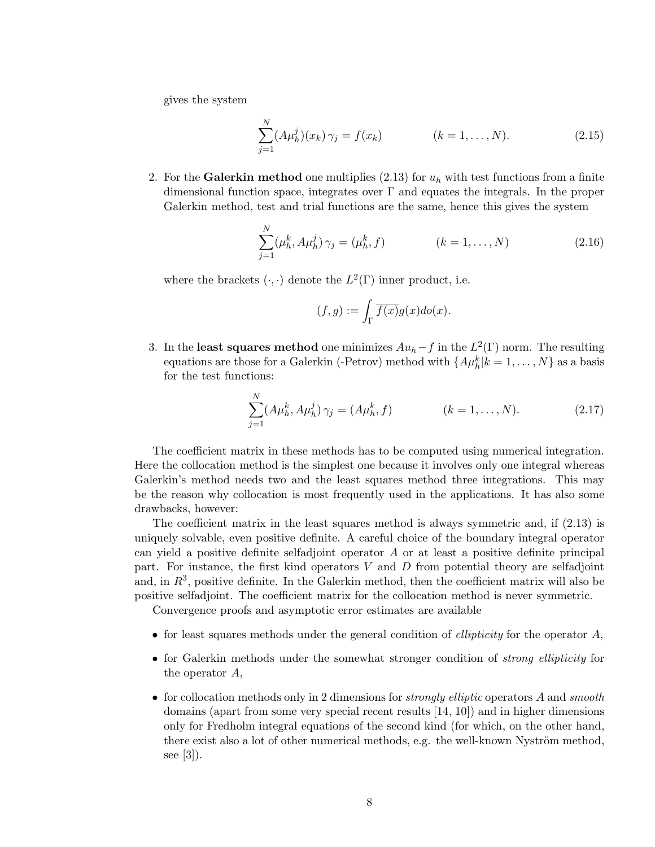gives the system

$$
\sum_{j=1}^{N} (A\mu_h^j)(x_k) \gamma_j = f(x_k) \qquad (k = 1, ..., N). \qquad (2.15)
$$

2. For the Galerkin method one multiplies (2.13) for  $u<sub>h</sub>$  with test functions from a finite dimensional function space, integrates over  $\Gamma$  and equates the integrals. In the proper Galerkin method, test and trial functions are the same, hence this gives the system

$$
\sum_{j=1}^{N} (\mu_h^k, A \mu_h^j) \gamma_j = (\mu_h^k, f) \qquad (k = 1, ..., N)
$$
 (2.16)

where the brackets  $(\cdot, \cdot)$  denote the  $L^2(\Gamma)$  inner product, i.e.

$$
(f,g):=\int_\Gamma \overline{f(x)}g(x)do(x).
$$

3. In the least squares method one minimizes  $Au_h - f$  in the  $L^2(\Gamma)$  norm. The resulting equations are those for a Galerkin (-Petrov) method with  $\{A\mu_h^k | k = 1, \ldots, N\}$  as a basis for the test functions:

$$
\sum_{j=1}^{N} (A\mu_h^k, A\mu_h^j) \gamma_j = (A\mu_h^k, f) \qquad (k = 1, ..., N). \qquad (2.17)
$$

The coefficient matrix in these methods has to be computed using numerical integration. Here the collocation method is the simplest one because it involves only one integral whereas Galerkin's method needs two and the least squares method three integrations. This may be the reason why collocation is most frequently used in the applications. It has also some drawbacks, however:

The coefficient matrix in the least squares method is always symmetric and, if (2.13) is uniquely solvable, even positive definite. A careful choice of the boundary integral operator can yield a positive definite selfadjoint operator A or at least a positive definite principal part. For instance, the first kind operators  $V$  and  $D$  from potential theory are selfadjoint and, in  $R^3$ , positive definite. In the Galerkin method, then the coefficient matrix will also be positive selfadjoint. The coefficient matrix for the collocation method is never symmetric.

Convergence proofs and asymptotic error estimates are available

- for least squares methods under the general condition of *ellipticity* for the operator  $A$ ,
- for Galerkin methods under the somewhat stronger condition of *strong ellipticity* for the operator A,
- for collocation methods only in 2 dimensions for *strongly elliptic* operators A and *smooth* domains (apart from some very special recent results [14, 10]) and in higher dimensions only for Fredholm integral equations of the second kind (for which, on the other hand, there exist also a lot of other numerical methods, e.g. the well-known Nyström method, see [3]).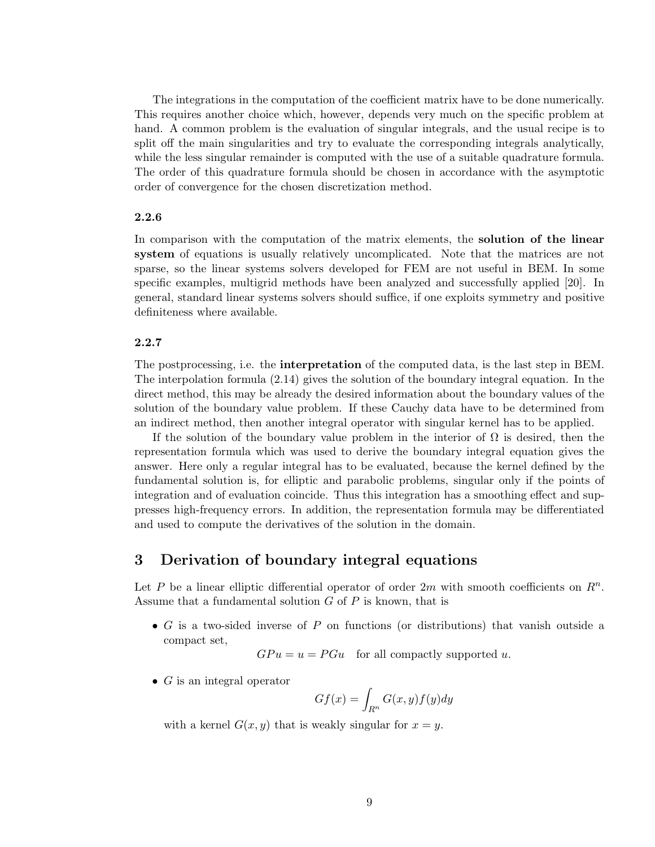The integrations in the computation of the coefficient matrix have to be done numerically. This requires another choice which, however, depends very much on the specific problem at hand. A common problem is the evaluation of singular integrals, and the usual recipe is to split off the main singularities and try to evaluate the corresponding integrals analytically, while the less singular remainder is computed with the use of a suitable quadrature formula. The order of this quadrature formula should be chosen in accordance with the asymptotic order of convergence for the chosen discretization method.

### 2.2.6

In comparison with the computation of the matrix elements, the solution of the linear system of equations is usually relatively uncomplicated. Note that the matrices are not sparse, so the linear systems solvers developed for FEM are not useful in BEM. In some specific examples, multigrid methods have been analyzed and successfully applied [20]. In general, standard linear systems solvers should suffice, if one exploits symmetry and positive definiteness where available.

### 2.2.7

The postprocessing, i.e. the interpretation of the computed data, is the last step in BEM. The interpolation formula (2.14) gives the solution of the boundary integral equation. In the direct method, this may be already the desired information about the boundary values of the solution of the boundary value problem. If these Cauchy data have to be determined from an indirect method, then another integral operator with singular kernel has to be applied.

If the solution of the boundary value problem in the interior of  $\Omega$  is desired, then the representation formula which was used to derive the boundary integral equation gives the answer. Here only a regular integral has to be evaluated, because the kernel defined by the fundamental solution is, for elliptic and parabolic problems, singular only if the points of integration and of evaluation coincide. Thus this integration has a smoothing effect and suppresses high-frequency errors. In addition, the representation formula may be differentiated and used to compute the derivatives of the solution in the domain.

### 3 Derivation of boundary integral equations

Let P be a linear elliptic differential operator of order  $2m$  with smooth coefficients on  $\mathbb{R}^n$ . Assume that a fundamental solution  $G$  of  $P$  is known, that is

• G is a two-sided inverse of P on functions (or distributions) that vanish outside a compact set,

 $GPu = u = PGu$  for all compactly supported u.

 $\bullet$  G is an integral operator

$$
Gf(x) = \int_{R^n} G(x, y) f(y) dy
$$

with a kernel  $G(x, y)$  that is weakly singular for  $x = y$ .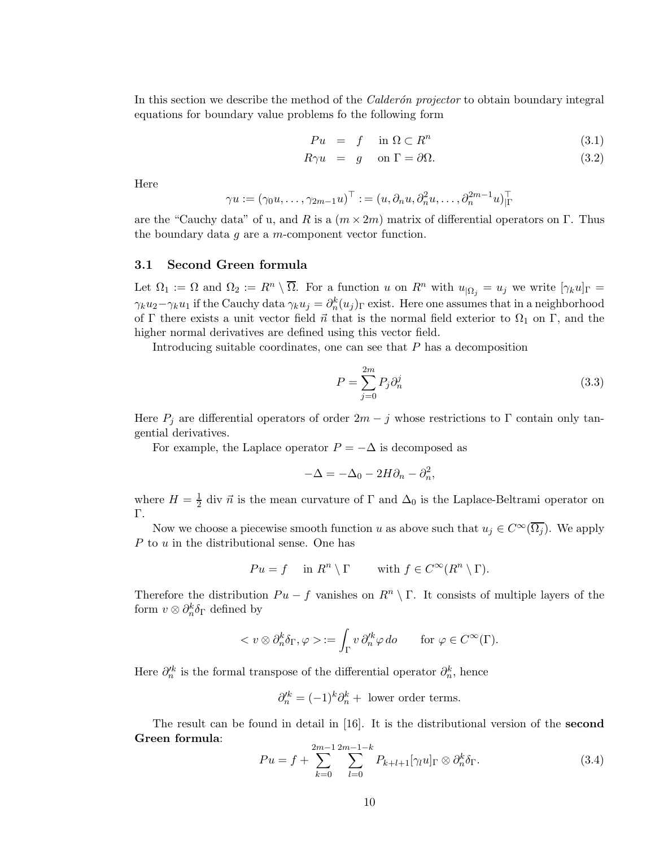In this section we describe the method of the *Calderón projector* to obtain boundary integral equations for boundary value problems fo the following form

$$
Pu = f \quad \text{in } \Omega \subset R^n \tag{3.1}
$$

$$
R\gamma u = g \quad \text{on } \Gamma = \partial\Omega. \tag{3.2}
$$

Here

$$
\gamma u := (\gamma_0 u, \dots, \gamma_{2m-1} u)^\top := (u, \partial_n u, \partial_n^2 u, \dots, \partial_n^{2m-1} u)_{|\Gamma}^\top
$$

are the "Cauchy data" of u, and R is a  $(m \times 2m)$  matrix of differential operators on  $\Gamma$ . Thus the boundary data  $g$  are a  $m$ -component vector function.

### 3.1 Second Green formula

Let  $\Omega_1 := \Omega$  and  $\Omega_2 := R^n \setminus \overline{\Omega}$ . For a function u on  $R^n$  with  $u_{\vert \Omega_j} = u_j$  we write  $[\gamma_k u]_{\Gamma} =$  $\gamma_k u_2 - \gamma_k u_1$  if the Cauchy data  $\gamma_k u_j = \partial_n^k (u_j)_\Gamma$  exist. Here one assumes that in a neighborhood of Γ there exists a unit vector field  $\vec{n}$  that is the normal field exterior to  $\Omega_1$  on Γ, and the higher normal derivatives are defined using this vector field.

Introducing suitable coordinates, one can see that P has a decomposition

$$
P = \sum_{j=0}^{2m} P_j \partial_n^j \tag{3.3}
$$

Here  $P_j$  are differential operators of order  $2m - j$  whose restrictions to  $\Gamma$  contain only tangential derivatives.

For example, the Laplace operator  $P = -\Delta$  is decomposed as

$$
-\Delta = -\Delta_0 - 2H\partial_n - \partial_n^2,
$$

where  $H=\frac{1}{2}$  $\frac{1}{2}$  div  $\vec{n}$  is the mean curvature of  $\Gamma$  and  $\Delta_0$  is the Laplace-Beltrami operator on Γ.

Now we choose a piecewise smooth function u as above such that  $u_j \in C^{\infty}(\overline{\Omega_j})$ . We apply P to u in the distributional sense. One has

$$
Pu = f \quad \text{in } R^n \setminus \Gamma \qquad \text{with } f \in C^\infty(R^n \setminus \Gamma).
$$

Therefore the distribution  $Pu - f$  vanishes on  $R<sup>n</sup> \setminus \Gamma$ . It consists of multiple layers of the form  $v \otimes \partial_n^k \delta_{\Gamma}$  defined by

$$
\langle v \otimes \partial_n^k \delta_{\Gamma} , \varphi \rangle := \int_{\Gamma} v \, \partial_n^k \varphi \, do \qquad \text{for } \varphi \in C^{\infty}(\Gamma).
$$

Here  $\partial_{n}^{\prime k}$  is the formal transpose of the differential operator  $\partial_{n}^{k}$ , hence

$$
\partial_n^{\prime k} = (-1)^k \partial_n^k + \text{ lower order terms.}
$$

The result can be found in detail in [16]. It is the distributional version of the second Green formula:

$$
Pu = f + \sum_{k=0}^{2m-1} \sum_{l=0}^{2m-1-k} P_{k+l+1}[\gamma_l u]_{\Gamma} \otimes \partial_n^k \delta_{\Gamma}.
$$
 (3.4)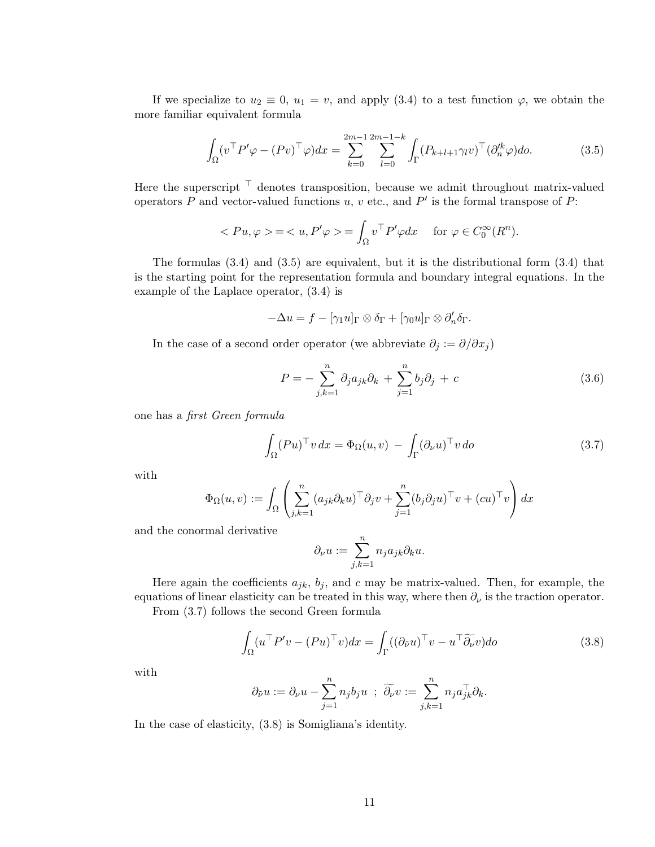If we specialize to  $u_2 \equiv 0$ ,  $u_1 = v$ , and apply (3.4) to a test function  $\varphi$ , we obtain the more familiar equivalent formula

$$
\int_{\Omega} (v^{\top} P' \varphi - (Pv)^{\top} \varphi) dx = \sum_{k=0}^{2m-1} \sum_{l=0}^{2m-1-k} \int_{\Gamma} (P_{k+l+1} \gamma_l v)^{\top} (\partial_n^{\prime k} \varphi) d\sigma.
$$
 (3.5)

Here the superscript  ${}^{\top}$  denotes transposition, because we admit throughout matrix-valued operators  $P$  and vector-valued functions  $u, v$  etc., and  $P'$  is the formal transpose of  $P$ :

$$
\langle Pu, \varphi \rangle = \langle u, P' \varphi \rangle = \int_{\Omega} v^{\top} P' \varphi dx \quad \text{ for } \varphi \in C_0^{\infty}(R^n).
$$

The formulas (3.4) and (3.5) are equivalent, but it is the distributional form (3.4) that is the starting point for the representation formula and boundary integral equations. In the example of the Laplace operator, (3.4) is

$$
-\Delta u = f - [\gamma_1 u]_{\Gamma} \otimes \delta_{\Gamma} + [\gamma_0 u]_{\Gamma} \otimes \partial'_n \delta_{\Gamma}.
$$

In the case of a second order operator (we abbreviate  $\partial_j := \partial/\partial x_j$ )

$$
P = -\sum_{j,k=1}^{n} \partial_j a_{jk} \partial_k + \sum_{j=1}^{n} b_j \partial_j + c \qquad (3.6)
$$

one has a first Green formula

$$
\int_{\Omega} (Pu)^{\top} v \, dx = \Phi_{\Omega}(u, v) - \int_{\Gamma} (\partial_{\nu} u)^{\top} v \, do \tag{3.7}
$$

with

$$
\Phi_{\Omega}(u,v) := \int_{\Omega} \left( \sum_{j,k=1}^{n} (a_{jk} \partial_k u)^{\top} \partial_j v + \sum_{j=1}^{n} (b_j \partial_j u)^{\top} v + (cu)^{\top} v \right) dx
$$

and the conormal derivative

$$
\partial_{\nu}u := \sum_{j,k=1}^{n} n_j a_{jk} \partial_k u.
$$

Here again the coefficients  $a_{jk}$ ,  $b_j$ , and c may be matrix-valued. Then, for example, the equations of linear elasticity can be treated in this way, where then  $\partial_{\nu}$  is the traction operator.

From (3.7) follows the second Green formula

$$
\int_{\Omega} (u^{\top} P' v - (P u)^{\top} v) dx = \int_{\Gamma} ((\partial_{\tilde{\nu}} u)^{\top} v - u^{\top} \widetilde{\partial_{\nu}} v) do \qquad (3.8)
$$

with

$$
\partial_{\tilde{\nu}} u := \partial_{\nu} u - \sum_{j=1}^n n_j b_j u \; ; \; \widetilde{\partial_{\nu}} v := \sum_{j,k=1}^n n_j a_{jk}^{\top} \partial_k.
$$

In the case of elasticity, (3.8) is Somigliana's identity.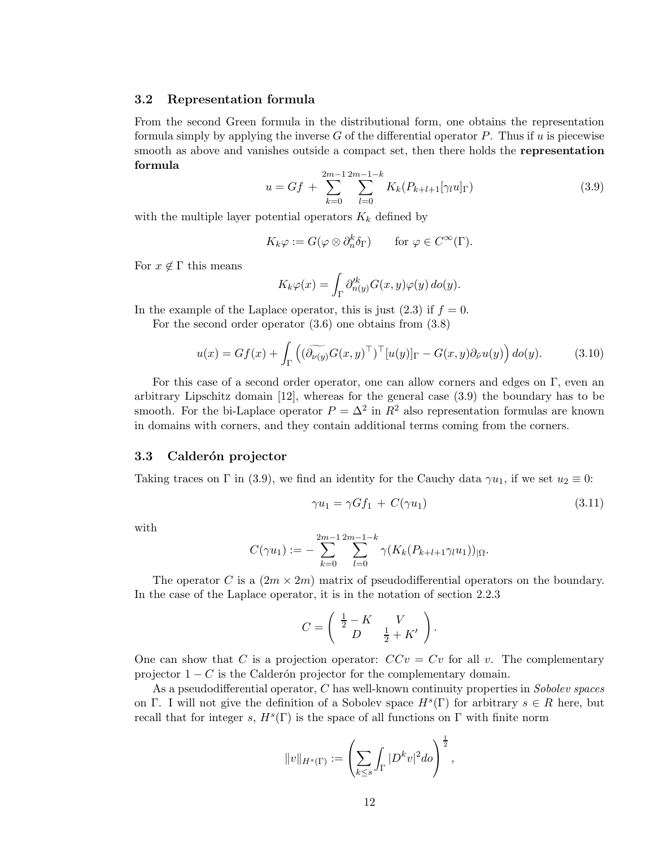### 3.2 Representation formula

From the second Green formula in the distributional form, one obtains the representation formula simply by applying the inverse G of the differential operator P. Thus if u is piecewise smooth as above and vanishes outside a compact set, then there holds the **representation** formula

$$
u = Gf + \sum_{k=0}^{2m-1} \sum_{l=0}^{2m-1-k} K_k(P_{k+l+1}[\gamma_l u]_{\Gamma})
$$
\n(3.9)

with the multiple layer potential operators  $K_k$  defined by

$$
K_k \varphi := G(\varphi \otimes \partial_n^k \delta_\Gamma) \quad \text{for } \varphi \in C^\infty(\Gamma).
$$

For  $x \notin \Gamma$  this means

$$
K_k\varphi(x)=\int_\Gamma \partial_{n(y)}^{\prime k}G(x,y)\varphi(y)\,do(y).
$$

In the example of the Laplace operator, this is just  $(2.3)$  if  $f = 0$ .

For the second order operator (3.6) one obtains from (3.8)

$$
u(x) = Gf(x) + \int_{\Gamma} \left( (\widetilde{\partial_{\nu(y)}} G(x, y)^{\top})^{\top} [u(y)]_{\Gamma} - G(x, y) \partial_{\tilde{\nu}} u(y) \right) d\sigma(y).
$$
 (3.10)

For this case of a second order operator, one can allow corners and edges on Γ, even an arbitrary Lipschitz domain [12], whereas for the general case (3.9) the boundary has to be smooth. For the bi-Laplace operator  $P = \Delta^2$  in  $R^2$  also representation formulas are known in domains with corners, and they contain additional terms coming from the corners.

#### 3.3 Calderón projector

Taking traces on  $\Gamma$  in (3.9), we find an identity for the Cauchy data  $\gamma u_1$ , if we set  $u_2 \equiv 0$ :

$$
\gamma u_1 = \gamma G f_1 + C(\gamma u_1) \tag{3.11}
$$

with

$$
C(\gamma u_1) := -\sum_{k=0}^{2m-1} \sum_{l=0}^{2m-1-k} \gamma(K_k(P_{k+l+1}\gamma_l u_1))_{|\Omega}.
$$

The operator C is a  $(2m \times 2m)$  matrix of pseudodifferential operators on the boundary. In the case of the Laplace operator, it is in the notation of section 2.2.3

$$
C = \left( \begin{array}{cc} \frac{1}{2} - K & V \\ D & \frac{1}{2} + K' \end{array} \right).
$$

One can show that C is a projection operator:  $CCv = Cv$  for all v. The complementary projector  $1 - C$  is the Calderón projector for the complementary domain.

As a pseudodifferential operator, C has well-known continuity properties in Sobolev spaces on Γ. I will not give the definition of a Sobolev space  $H<sup>s</sup>(\Gamma)$  for arbitrary  $s \in R$  here, but recall that for integer s,  $H^s(\Gamma)$  is the space of all functions on  $\Gamma$  with finite norm

$$
||v||_{H^{s}(\Gamma)} := \left(\sum_{k \leq s} \int_{\Gamma} |D^k v|^2 d\sigma\right)^{\frac{1}{2}},
$$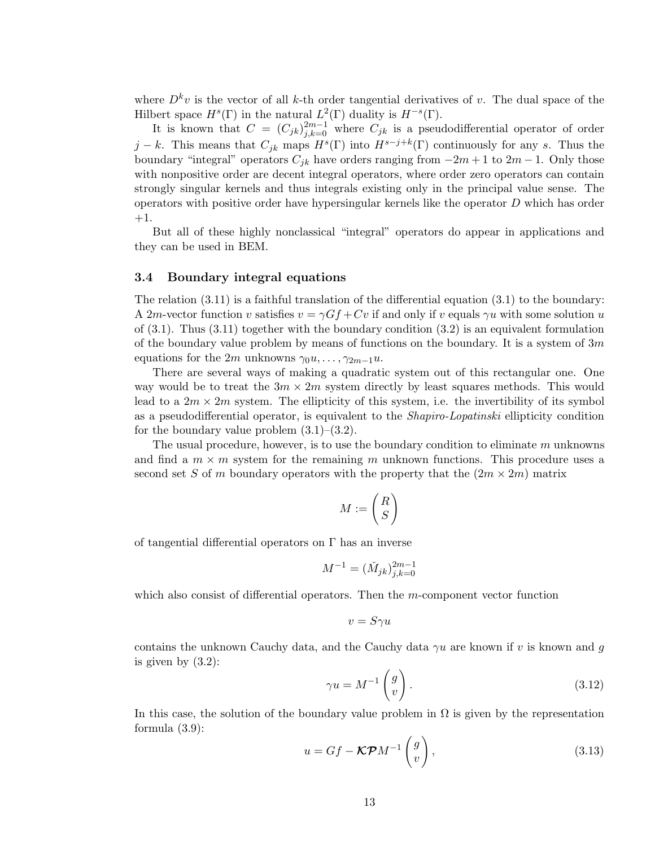where  $D^k v$  is the vector of all k-th order tangential derivatives of v. The dual space of the Hilbert space  $H^s(\Gamma)$  in the natural  $L^2(\Gamma)$  duality is  $H^{-s}(\Gamma)$ .

It is known that  $C = (C_{jk})_{j,k=0}^{2m-1}$  where  $C_{jk}$  is a pseudodifferential operator of order  $j - k$ . This means that  $C_{jk}$  maps  $H<sup>s</sup>(\Gamma)$  into  $H<sup>s-j+k</sup>(\Gamma)$  continuously for any s. Thus the boundary "integral" operators  $C_{ik}$  have orders ranging from  $-2m+1$  to  $2m-1$ . Only those with nonpositive order are decent integral operators, where order zero operators can contain strongly singular kernels and thus integrals existing only in the principal value sense. The operators with positive order have hypersingular kernels like the operator D which has order +1.

But all of these highly nonclassical "integral" operators do appear in applications and they can be used in BEM.

#### 3.4 Boundary integral equations

The relation (3.11) is a faithful translation of the differential equation (3.1) to the boundary: A 2m-vector function v satisfies  $v = \gamma G f + Cv$  if and only if v equals  $\gamma u$  with some solution u of  $(3.1)$ . Thus  $(3.11)$  together with the boundary condition  $(3.2)$  is an equivalent formulation of the boundary value problem by means of functions on the boundary. It is a system of  $3m$ equations for the 2m unknowns  $\gamma_0 u, \ldots, \gamma_{2m-1} u$ .

There are several ways of making a quadratic system out of this rectangular one. One way would be to treat the  $3m \times 2m$  system directly by least squares methods. This would lead to a  $2m \times 2m$  system. The ellipticity of this system, i.e. the invertibility of its symbol as a pseudodifferential operator, is equivalent to the Shapiro-Lopatinski ellipticity condition for the boundary value problem  $(3.1)$ – $(3.2)$ .

The usual procedure, however, is to use the boundary condition to eliminate m unknowns and find a  $m \times m$  system for the remaining m unknown functions. This procedure uses a second set S of m boundary operators with the property that the  $(2m \times 2m)$  matrix

$$
M:=\binom{R}{S}
$$

of tangential differential operators on  $\Gamma$  has an inverse

$$
M^{-1} = (\check{M}_{jk})_{j,k=0}^{2m-1}
$$

which also consist of differential operators. Then the m-component vector function

$$
v = S\gamma u
$$

contains the unknown Cauchy data, and the Cauchy data  $\gamma u$  are known if v is known and g is given by  $(3.2)$ :

$$
\gamma u = M^{-1} \begin{pmatrix} g \\ v \end{pmatrix} . \tag{3.12}
$$

In this case, the solution of the boundary value problem in  $\Omega$  is given by the representation formula (3.9):

$$
u = Gf - \mathcal{K} \mathcal{P} M^{-1} \begin{pmatrix} g \\ v \end{pmatrix}, \tag{3.13}
$$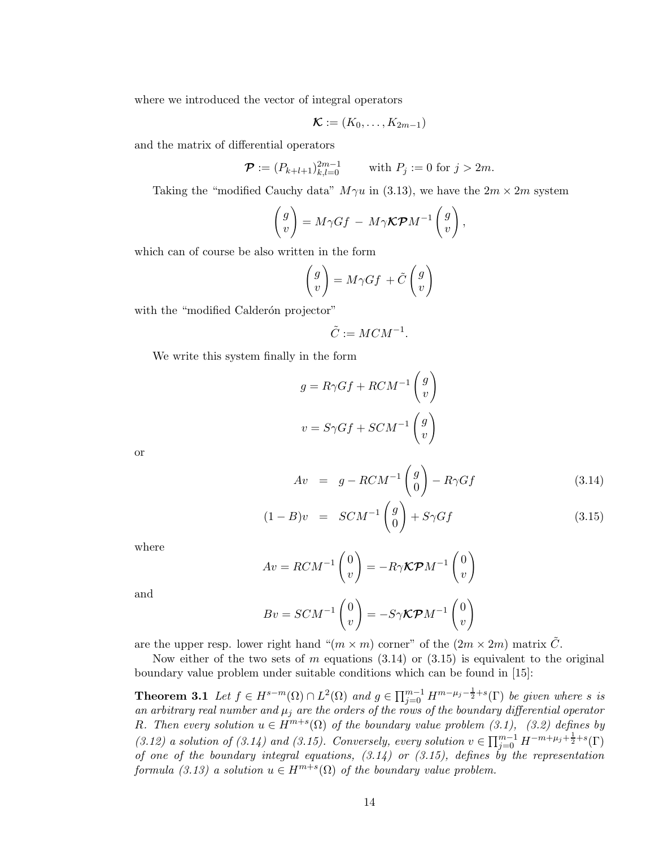where we introduced the vector of integral operators

$$
\mathcal{K} := (K_0, \ldots, K_{2m-1})
$$

and the matrix of differential operators

$$
\mathcal{P} := (P_{k+l+1})_{k,l=0}^{2m-1} \qquad \text{with } P_j := 0 \text{ for } j > 2m.
$$

Taking the "modified Cauchy data"  $M\gamma u$  in (3.13), we have the  $2m \times 2m$  system

$$
\begin{pmatrix} g \\ v \end{pmatrix} = M\gamma Gf - M\gamma \mathcal{K} \mathcal{P} M^{-1} \begin{pmatrix} g \\ v \end{pmatrix},
$$

which can of course be also written in the form

$$
\begin{pmatrix} g \\ v \end{pmatrix} = M\gamma Gf + \tilde{C} \begin{pmatrix} g \\ v \end{pmatrix}
$$

with the "modified Calderón projector"

$$
\tilde{C} := MCM^{-1}.
$$

We write this system finally in the form

$$
g = R\gamma Gf + RCM^{-1} \begin{pmatrix} g \\ v \end{pmatrix}
$$

$$
v = S\gamma Gf + SCM^{-1} \begin{pmatrix} g \\ v \end{pmatrix}
$$

or

$$
Av = g - RCM^{-1} \begin{pmatrix} g \\ 0 \end{pmatrix} - R\gamma Gf \qquad (3.14)
$$

$$
(1 - B)v = SCM^{-1}\begin{pmatrix} g \\ 0 \end{pmatrix} + S\gamma Gf \qquad (3.15)
$$

where

$$
Av = RCM^{-1}\begin{pmatrix} 0\\v \end{pmatrix} = -R\gamma \mathcal{K} \mathcal{P} M^{-1}\begin{pmatrix} 0\\v \end{pmatrix}
$$

and

$$
Bv = SCM^{-1}\begin{pmatrix} 0\\v \end{pmatrix} = -S\gamma\mathcal{K}\mathcal{P}M^{-1}\begin{pmatrix} 0\\v \end{pmatrix}
$$

are the upper resp. lower right hand " $(m \times m)$  corner" of the  $(2m \times 2m)$  matrix  $\tilde{C}$ .

Now either of the two sets of m equations  $(3.14)$  or  $(3.15)$  is equivalent to the original boundary value problem under suitable conditions which can be found in [15]:

**Theorem 3.1** Let  $f \in H^{s-m}(\Omega) \cap L^2(\Omega)$  and  $g \in \prod_{j=0}^{m-1} H^{m-\mu_j-\frac{1}{2}+s}(\Gamma)$  be given where s is an arbitrary real number and  $\mu_j$  are the orders of the rows of the boundary differential operator R. Then every solution  $u \in H^{m+s}(\Omega)$  of the boundary value problem (3.1), (3.2) defines by (3.12) a solution of (3.14) and (3.15). Conversely, every solution  $v \in \prod_{j=0}^{m-1} H^{-m+\mu_j+\frac{1}{2}+s}(\Gamma)$ of one of the boundary integral equations,  $(3.14)$  or  $(3.15)$ , defines by the representation formula (3.13) a solution  $u \in H^{m+s}(\Omega)$  of the boundary value problem.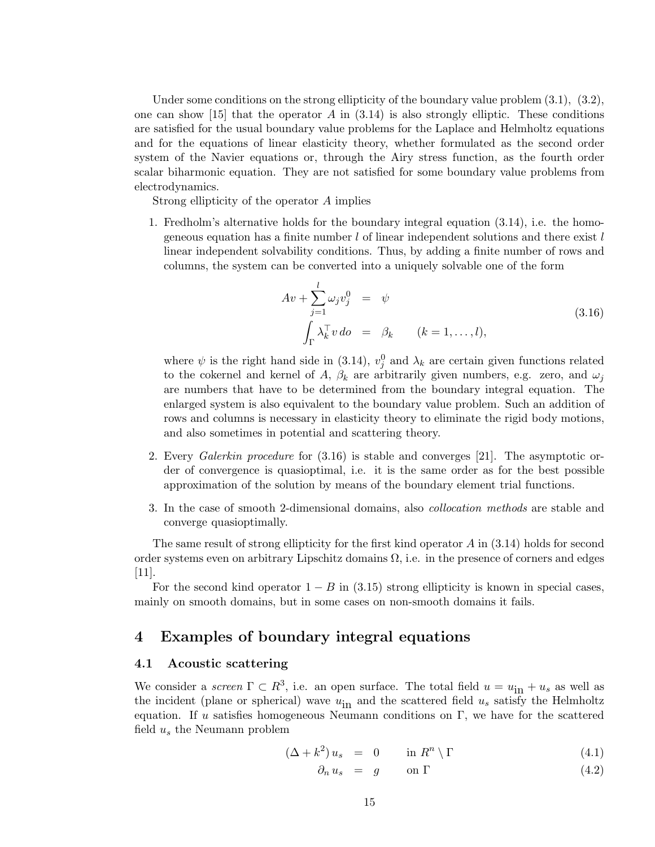Under some conditions on the strong ellipticity of the boundary value problem  $(3.1)$ ,  $(3.2)$ , one can show  $[15]$  that the operator A in  $(3.14)$  is also strongly elliptic. These conditions are satisfied for the usual boundary value problems for the Laplace and Helmholtz equations and for the equations of linear elasticity theory, whether formulated as the second order system of the Navier equations or, through the Airy stress function, as the fourth order scalar biharmonic equation. They are not satisfied for some boundary value problems from electrodynamics.

Strong ellipticity of the operator A implies

1. Fredholm's alternative holds for the boundary integral equation (3.14), i.e. the homogeneous equation has a finite number  $l$  of linear independent solutions and there exist  $l$ linear independent solvability conditions. Thus, by adding a finite number of rows and columns, the system can be converted into a uniquely solvable one of the form

$$
Av + \sum_{j=1}^{l} \omega_j v_j^0 = \psi
$$
  

$$
\int_{\Gamma} \lambda_k^{\top} v \, do = \beta_k \qquad (k = 1, \dots, l),
$$
 (3.16)

where  $\psi$  is the right hand side in (3.14),  $v_j^0$  and  $\lambda_k$  are certain given functions related to the cokernel and kernel of A,  $\beta_k$  are arbitrarily given numbers, e.g. zero, and  $\omega_j$ are numbers that have to be determined from the boundary integral equation. The enlarged system is also equivalent to the boundary value problem. Such an addition of rows and columns is necessary in elasticity theory to eliminate the rigid body motions, and also sometimes in potential and scattering theory.

- 2. Every Galerkin procedure for (3.16) is stable and converges [21]. The asymptotic order of convergence is quasioptimal, i.e. it is the same order as for the best possible approximation of the solution by means of the boundary element trial functions.
- 3. In the case of smooth 2-dimensional domains, also collocation methods are stable and converge quasioptimally.

The same result of strong ellipticity for the first kind operator  $A$  in  $(3.14)$  holds for second order systems even on arbitrary Lipschitz domains  $\Omega$ , i.e. in the presence of corners and edges [11].

For the second kind operator  $1 - B$  in (3.15) strong ellipticity is known in special cases, mainly on smooth domains, but in some cases on non-smooth domains it fails.

### 4 Examples of boundary integral equations

#### 4.1 Acoustic scattering

We consider a *screen*  $\Gamma \subset R^3$ , i.e. an open surface. The total field  $u = u_{\text{in}} + u_s$  as well as the incident (plane or spherical) wave  $u_{\text{in}}$  and the scattered field  $u_s$  satisfy the Helmholtz equation. If u satisfies homogeneous Neumann conditions on  $\Gamma$ , we have for the scattered field  $u_s$  the Neumann problem

$$
(\Delta + k^2) u_s = 0 \qquad \text{in } R^n \setminus \Gamma \tag{4.1}
$$

$$
\partial_n u_s = g \qquad \text{on } \Gamma \tag{4.2}
$$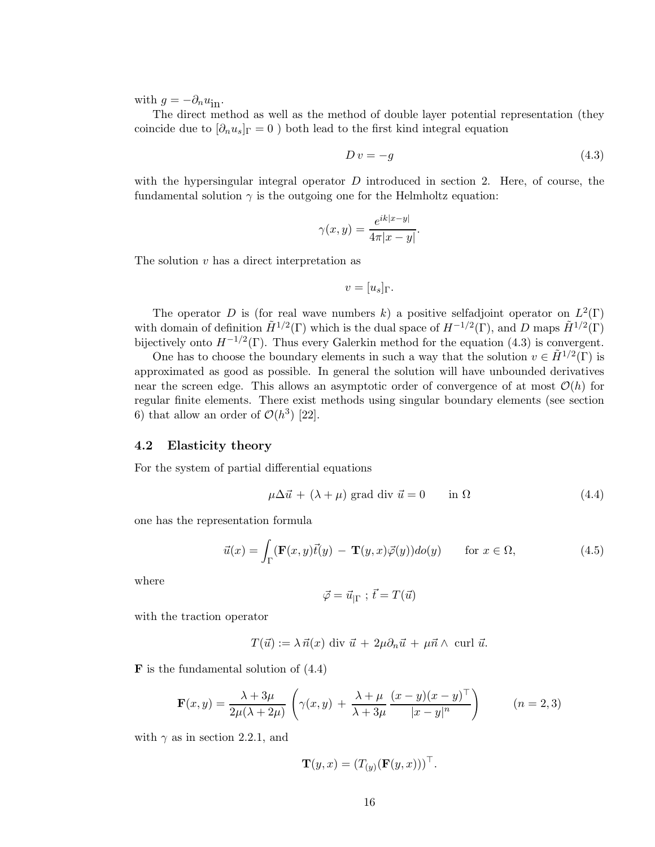with  $g = -\partial_n u_{\text{in}}$ .

The direct method as well as the method of double layer potential representation (they coincide due to  $[\partial_n u_s]_{\Gamma} = 0$  ) both lead to the first kind integral equation

$$
Dv = -g \tag{4.3}
$$

with the hypersingular integral operator  $D$  introduced in section 2. Here, of course, the fundamental solution  $\gamma$  is the outgoing one for the Helmholtz equation:

$$
\gamma(x,y) = \frac{e^{ik|x-y|}}{4\pi|x-y|}.
$$

The solution v has a direct interpretation as

$$
v=[u_s]_\Gamma.
$$

The operator D is (for real wave numbers k) a positive selfadjoint operator on  $L^2(\Gamma)$ with domain of definition  $\tilde{H}^{1/2}(\Gamma)$  which is the dual space of  $H^{-1/2}(\Gamma)$ , and D maps  $\tilde{H}^{1/2}(\Gamma)$ bijectively onto  $H^{-1/2}(\Gamma)$ . Thus every Galerkin method for the equation (4.3) is convergent.

One has to choose the boundary elements in such a way that the solution  $v \in \tilde{H}^{1/2}(\Gamma)$  is approximated as good as possible. In general the solution will have unbounded derivatives near the screen edge. This allows an asymptotic order of convergence of at most  $\mathcal{O}(h)$  for regular finite elements. There exist methods using singular boundary elements (see section 6) that allow an order of  $\mathcal{O}(h^3)$  [22].

#### 4.2 Elasticity theory

For the system of partial differential equations

$$
\mu \Delta \vec{u} + (\lambda + \mu) \text{ grad div } \vec{u} = 0 \quad \text{in } \Omega \tag{4.4}
$$

one has the representation formula

$$
\vec{u}(x) = \int_{\Gamma} (\mathbf{F}(x, y)\vec{t}(y) - \mathbf{T}(y, x)\vec{\varphi}(y))d\sigma(y) \quad \text{for } x \in \Omega,
$$
\n(4.5)

where

$$
\vec{\varphi} = \vec{u}_{|\Gamma} \; ; \; \vec{t} = T(\vec{u})
$$

with the traction operator

$$
T(\vec{u}) := \lambda \,\vec{n}(x) \text{ div } \vec{u} + 2\mu \partial_n \vec{u} + \mu \vec{n} \wedge \text{ curl } \vec{u}.
$$

 **is the fundamental solution of**  $(4.4)$ 

$$
\mathbf{F}(x,y) = \frac{\lambda + 3\mu}{2\mu(\lambda + 2\mu)} \left( \gamma(x,y) + \frac{\lambda + \mu}{\lambda + 3\mu} \frac{(x-y)(x-y)^{\top}}{|x-y|^n} \right) \qquad (n = 2,3)
$$

with  $\gamma$  as in section 2.2.1, and

$$
\mathbf{T}(y,x) = (T_{(y)}(\mathbf{F}(y,x)))^\top.
$$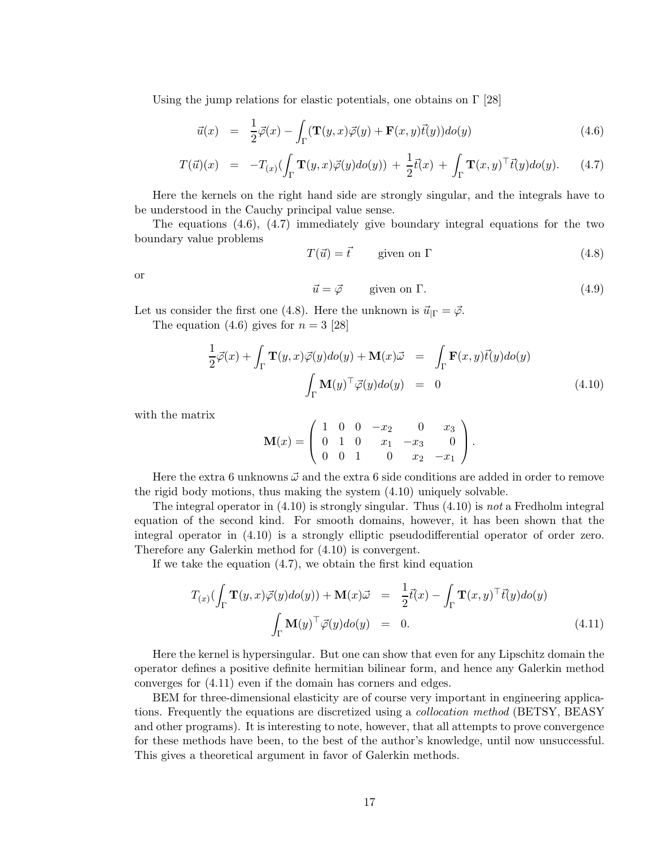Using the jump relations for elastic potentials, one obtains on  $\Gamma$  [28]

$$
\vec{u}(x) = \frac{1}{2}\vec{\varphi}(x) - \int_{\Gamma} (\mathbf{T}(y,x)\vec{\varphi}(y) + \mathbf{F}(x,y)\vec{t}(y))d\sigma(y) \tag{4.6}
$$

$$
T(\vec{u})(x) = -T_{(x)}(\int_{\Gamma} \mathbf{T}(y,x)\vec{\varphi}(y)d\sigma(y)) + \frac{1}{2}\vec{t}(x) + \int_{\Gamma} \mathbf{T}(x,y)^{\top}\vec{t}(y)d\sigma(y).
$$
 (4.7)

Here the kernels on the right hand side are strongly singular, and the integrals have to be understood in the Cauchy principal value sense.

The equations  $(4.6)$ ,  $(4.7)$  immediately give boundary integral equations for the two boundary value problems

 $T(\vec{u}) = \vec{t}$  given on Γ (4.8)

or

$$
\vec{u} = \vec{\varphi} \qquad \text{given on } \Gamma. \tag{4.9}
$$

Let us consider the first one (4.8). Here the unknown is  $\vec{u}_{|\Gamma} = \vec{\varphi}$ .

The equation  $(4.6)$  gives for  $n = 3$  [28]

$$
\frac{1}{2}\vec{\varphi}(x) + \int_{\Gamma} \mathbf{T}(y, x)\vec{\varphi}(y)d\sigma(y) + \mathbf{M}(x)\vec{\omega} = \int_{\Gamma} \mathbf{F}(x, y)\vec{t}(y)d\sigma(y)
$$
\n
$$
\int_{\Gamma} \mathbf{M}(y)^{\top}\vec{\varphi}(y)d\sigma(y) = 0
$$
\n(4.10)

with the matrix

$$
\mathbf{M}(x) = \left( \begin{array}{cccc} 1 & 0 & 0 & -x_2 & 0 & x_3 \\ 0 & 1 & 0 & x_1 & -x_3 & 0 \\ 0 & 0 & 1 & 0 & x_2 & -x_1 \end{array} \right).
$$

Here the extra 6 unknowns  $\vec{\omega}$  and the extra 6 side conditions are added in order to remove the rigid body motions, thus making the system (4.10) uniquely solvable.

The integral operator in  $(4.10)$  is strongly singular. Thus  $(4.10)$  is not a Fredholm integral equation of the second kind. For smooth domains, however, it has been shown that the integral operator in (4.10) is a strongly elliptic pseudodifferential operator of order zero. Therefore any Galerkin method for (4.10) is convergent.

If we take the equation (4.7), we obtain the first kind equation

$$
T_{(x)}\left(\int_{\Gamma} \mathbf{T}(y,x)\vec{\varphi}(y)d o(y)\right) + \mathbf{M}(x)\vec{\omega} = \frac{1}{2}\vec{t}(x) - \int_{\Gamma} \mathbf{T}(x,y)^{\top}\vec{t}(y)d o(y)
$$
  

$$
\int_{\Gamma} \mathbf{M}(y)^{\top}\vec{\varphi}(y)d o(y) = 0.
$$
 (4.11)

Here the kernel is hypersingular. But one can show that even for any Lipschitz domain the operator defines a positive definite hermitian bilinear form, and hence any Galerkin method converges for (4.11) even if the domain has corners and edges.

BEM for three-dimensional elasticity are of course very important in engineering applications. Frequently the equations are discretized using a *collocation method* (BETSY, BEASY) and other programs). It is interesting to note, however, that all attempts to prove convergence for these methods have been, to the best of the author's knowledge, until now unsuccessful. This gives a theoretical argument in favor of Galerkin methods.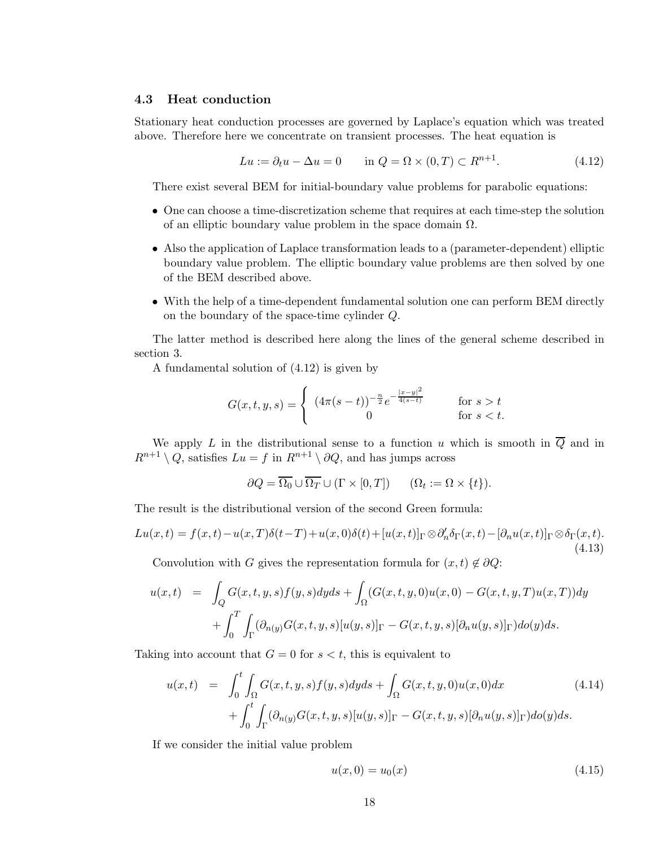### 4.3 Heat conduction

Stationary heat conduction processes are governed by Laplace's equation which was treated above. Therefore here we concentrate on transient processes. The heat equation is

$$
Lu := \partial_t u - \Delta u = 0 \qquad \text{in } Q = \Omega \times (0, T) \subset R^{n+1}.
$$
 (4.12)

There exist several BEM for initial-boundary value problems for parabolic equations:

- One can choose a time-discretization scheme that requires at each time-step the solution of an elliptic boundary value problem in the space domain  $\Omega$ .
- Also the application of Laplace transformation leads to a (parameter-dependent) elliptic boundary value problem. The elliptic boundary value problems are then solved by one of the BEM described above.
- With the help of a time-dependent fundamental solution one can perform BEM directly on the boundary of the space-time cylinder Q.

The latter method is described here along the lines of the general scheme described in section 3.

A fundamental solution of (4.12) is given by

$$
G(x, t, y, s) = \begin{cases} (4\pi(s-t))^{-\frac{n}{2}} e^{-\frac{|x-y|^2}{4(s-t)}} & \text{for } s > t \\ 0 & \text{for } s < t. \end{cases}
$$

We apply L in the distributional sense to a function u which is smooth in  $\overline{Q}$  and in  $R^{n+1} \setminus Q$ , satisfies  $Lu = f$  in  $R^{n+1} \setminus \partial Q$ , and has jumps across

$$
\partial Q = \overline{\Omega_0} \cup \overline{\Omega_T} \cup (\Gamma \times [0, T]) \qquad (\Omega_t := \Omega \times \{t\}).
$$

The result is the distributional version of the second Green formula:

$$
Lu(x,t) = f(x,t) - u(x,T)\delta(t-T) + u(x,0)\delta(t) + [u(x,t)]_{\Gamma} \otimes \partial'_{n}\delta_{\Gamma}(x,t) - [\partial_{n}u(x,t)]_{\Gamma} \otimes \delta_{\Gamma}(x,t).
$$
\n(4.13)

Convolution with G gives the representation formula for  $(x,t) \notin \partial Q$ :

$$
u(x,t) = \int_Q G(x,t,y,s)f(y,s)dyds + \int_\Omega (G(x,t,y,0)u(x,0) - G(x,t,y,T)u(x,T))dy
$$

$$
+ \int_0^T \int_\Gamma (\partial_{n(y)}G(x,t,y,s)[u(y,s)]_\Gamma - G(x,t,y,s)[\partial_n u(y,s)]_\Gamma)d\sigma(y)ds.
$$

Taking into account that  $G = 0$  for  $s < t$ , this is equivalent to

$$
u(x,t) = \int_0^t \int_{\Omega} G(x,t,y,s)f(y,s)dyds + \int_{\Omega} G(x,t,y,0)u(x,0)dx + \int_0^t \int_{\Gamma} (\partial_{n(y)}G(x,t,y,s)[u(y,s)]_{\Gamma} - G(x,t,y,s)[\partial_n u(y,s)]_{\Gamma})d\sigma(y)ds.
$$
 (4.14)

If we consider the initial value problem

$$
u(x,0) = u_0(x) \tag{4.15}
$$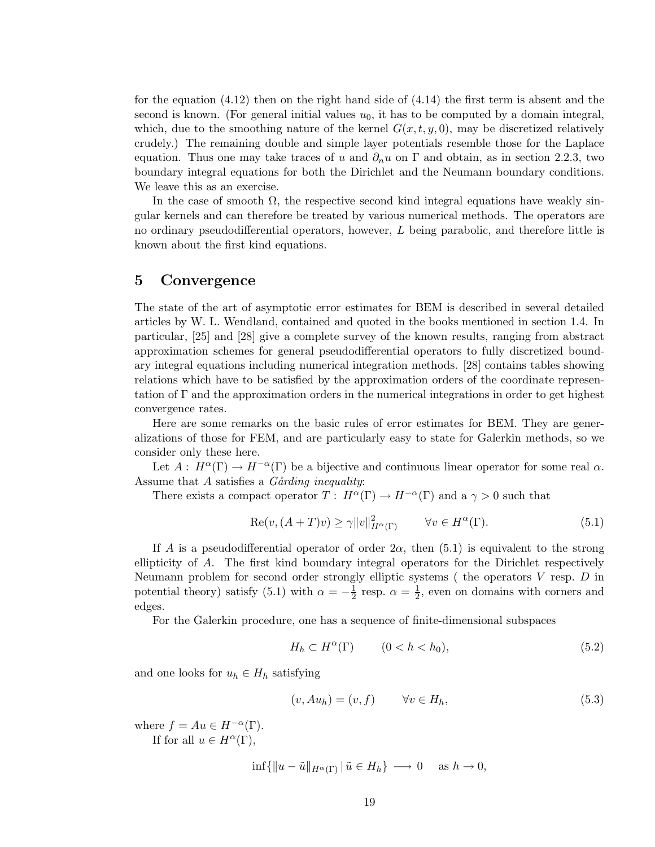for the equation  $(4.12)$  then on the right hand side of  $(4.14)$  the first term is absent and the second is known. (For general initial values  $u_0$ , it has to be computed by a domain integral, which, due to the smoothing nature of the kernel  $G(x,t,y,0)$ , may be discretized relatively crudely.) The remaining double and simple layer potentials resemble those for the Laplace equation. Thus one may take traces of u and  $\partial_n u$  on  $\Gamma$  and obtain, as in section 2.2.3, two boundary integral equations for both the Dirichlet and the Neumann boundary conditions. We leave this as an exercise.

In the case of smooth  $\Omega$ , the respective second kind integral equations have weakly singular kernels and can therefore be treated by various numerical methods. The operators are no ordinary pseudodifferential operators, however,  $L$  being parabolic, and therefore little is known about the first kind equations.

### 5 Convergence

The state of the art of asymptotic error estimates for BEM is described in several detailed articles by W. L. Wendland, contained and quoted in the books mentioned in section 1.4. In particular, [25] and [28] give a complete survey of the known results, ranging from abstract approximation schemes for general pseudodifferential operators to fully discretized boundary integral equations including numerical integration methods. [28] contains tables showing relations which have to be satisfied by the approximation orders of the coordinate representation of  $\Gamma$  and the approximation orders in the numerical integrations in order to get highest convergence rates.

Here are some remarks on the basic rules of error estimates for BEM. They are generalizations of those for FEM, and are particularly easy to state for Galerkin methods, so we consider only these here.

Let  $A: H^{\alpha}(\Gamma) \to H^{-\alpha}(\Gamma)$  be a bijective and continuous linear operator for some real  $\alpha$ . Assume that  $A$  satisfies a  $G\hat{a}r\hat{d}n\hat{g}$  inequality:

There exists a compact operator  $T: H^{\alpha}(\Gamma) \to H^{-\alpha}(\Gamma)$  and a  $\gamma > 0$  such that

$$
Re(v, (A + T)v) \ge \gamma ||v||_{H^{\alpha}(\Gamma)}^2 \qquad \forall v \in H^{\alpha}(\Gamma). \tag{5.1}
$$

If A is a pseudodifferential operator of order  $2\alpha$ , then (5.1) is equivalent to the strong ellipticity of A. The first kind boundary integral operators for the Dirichlet respectively Neumann problem for second order strongly elliptic systems ( the operators  $V$  resp.  $D$  in potential theory) satisfy (5.1) with  $\alpha = -\frac{1}{2}$  $\frac{1}{2}$  resp.  $\alpha = \frac{1}{2}$  $\frac{1}{2}$ , even on domains with corners and edges.

For the Galerkin procedure, one has a sequence of finite-dimensional subspaces

$$
H_h \subset H^{\alpha}(\Gamma) \qquad (0 < h < h_0), \tag{5.2}
$$

and one looks for  $u_h \in H_h$  satisfying

$$
(v, Au_h) = (v, f) \qquad \forall v \in H_h,
$$
\n
$$
(5.3)
$$

where  $f = Au \in H^{-\alpha}(\Gamma)$ . If for all  $u \in H^{\alpha}(\Gamma)$ ,

$$
\inf\{\|u - \tilde{u}\|_{H^{\alpha}(\Gamma)} \,|\, \tilde{u} \in H_h\} \longrightarrow 0 \quad \text{ as } h \to 0,
$$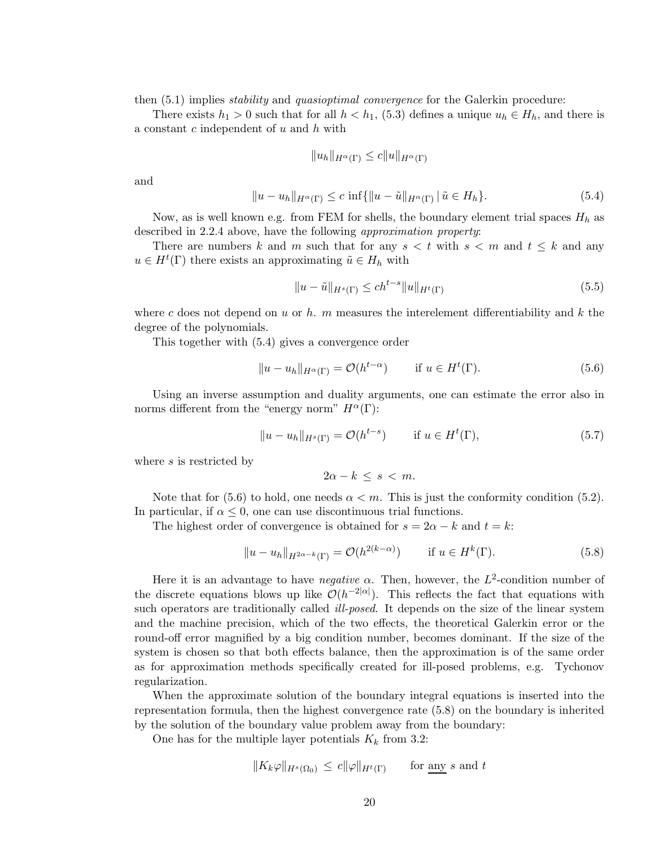then  $(5.1)$  implies *stability* and *quasioptimal convergence* for the Galerkin procedure:

There exists  $h_1 > 0$  such that for all  $h < h_1$ , (5.3) defines a unique  $u_h \in H_h$ , and there is a constant  $c$  independent of  $u$  and  $h$  with

$$
||u_h||_{H^{\alpha}(\Gamma)} \leq c||u||_{H^{\alpha}(\Gamma)}
$$

and

$$
||u - u_h||_{H^{\alpha}(\Gamma)} \le c \inf \{ ||u - \tilde{u}||_{H^{\alpha}(\Gamma)} | \tilde{u} \in H_h \}.
$$
\n
$$
(5.4)
$$

Now, as is well known e.g. from FEM for shells, the boundary element trial spaces  $H_h$  as described in 2.2.4 above, have the following approximation property:

There are numbers k and m such that for any  $s < t$  with  $s < m$  and  $t \leq k$  and any  $u \in H^t(\Gamma)$  there exists an approximating  $\tilde{u} \in H_h$  with

$$
||u - \tilde{u}||_{H^{s}(\Gamma)} \le ch^{t-s} ||u||_{H^{t}(\Gamma)}
$$
\n(5.5)

where c does not depend on u or h. m measures the interelement differentiability and k the degree of the polynomials.

This together with (5.4) gives a convergence order

$$
||u - u_h||_{H^{\alpha}(\Gamma)} = \mathcal{O}(h^{t-\alpha}) \qquad \text{if } u \in H^t(\Gamma). \tag{5.6}
$$

Using an inverse assumption and duality arguments, one can estimate the error also in norms different from the "energy norm"  $H^{\alpha}(\Gamma)$ :

$$
||u - u_h||_{H^s(\Gamma)} = \mathcal{O}(h^{t-s}) \qquad \text{if } u \in H^t(\Gamma), \tag{5.7}
$$

where s is restricted by

$$
2\alpha - k \leq s < m.
$$

Note that for (5.6) to hold, one needs  $\alpha < m$ . This is just the conformity condition (5.2). In particular, if  $\alpha \leq 0$ , one can use discontinuous trial functions.

The highest order of convergence is obtained for  $s = 2\alpha - k$  and  $t = k$ :

$$
||u - u_h||_{H^{2\alpha - k}(\Gamma)} = \mathcal{O}(h^{2(k - \alpha)}) \qquad \text{if } u \in H^k(\Gamma). \tag{5.8}
$$

Here it is an advantage to have *negative*  $\alpha$ . Then, however, the  $L^2$ -condition number of the discrete equations blows up like  $\mathcal{O}(h^{-2|\alpha|})$ . This reflects the fact that equations with such operators are traditionally called *ill-posed*. It depends on the size of the linear system and the machine precision, which of the two effects, the theoretical Galerkin error or the round-off error magnified by a big condition number, becomes dominant. If the size of the system is chosen so that both effects balance, then the approximation is of the same order as for approximation methods specifically created for ill-posed problems, e.g. Tychonov regularization.

When the approximate solution of the boundary integral equations is inserted into the representation formula, then the highest convergence rate (5.8) on the boundary is inherited by the solution of the boundary value problem away from the boundary:

One has for the multiple layer potentials  $K_k$  from 3.2:

$$
||K_k \varphi||_{H^s(\Omega_0)} \le c ||\varphi||_{H^t(\Gamma)} \quad \text{for any } s \text{ and } t
$$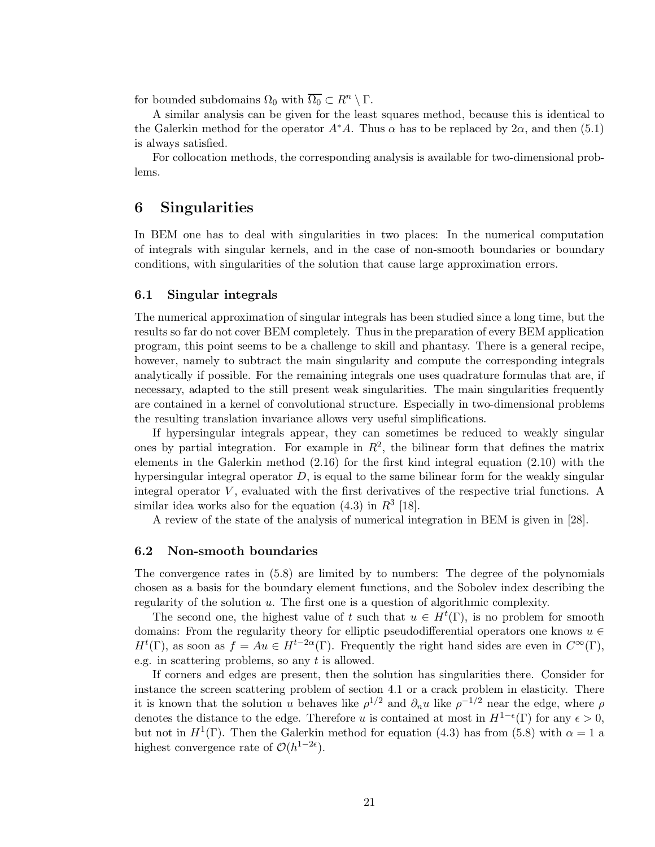for bounded subdomains  $\Omega_0$  with  $\overline{\Omega_0} \subset R^n \setminus \Gamma$ .

A similar analysis can be given for the least squares method, because this is identical to the Galerkin method for the operator  $A^*A$ . Thus  $\alpha$  has to be replaced by 2 $\alpha$ , and then (5.1) is always satisfied.

For collocation methods, the corresponding analysis is available for two-dimensional problems.

### 6 Singularities

In BEM one has to deal with singularities in two places: In the numerical computation of integrals with singular kernels, and in the case of non-smooth boundaries or boundary conditions, with singularities of the solution that cause large approximation errors.

#### 6.1 Singular integrals

The numerical approximation of singular integrals has been studied since a long time, but the results so far do not cover BEM completely. Thus in the preparation of every BEM application program, this point seems to be a challenge to skill and phantasy. There is a general recipe, however, namely to subtract the main singularity and compute the corresponding integrals analytically if possible. For the remaining integrals one uses quadrature formulas that are, if necessary, adapted to the still present weak singularities. The main singularities frequently are contained in a kernel of convolutional structure. Especially in two-dimensional problems the resulting translation invariance allows very useful simplifications.

If hypersingular integrals appear, they can sometimes be reduced to weakly singular ones by partial integration. For example in  $R^2$ , the bilinear form that defines the matrix elements in the Galerkin method (2.16) for the first kind integral equation (2.10) with the hypersingular integral operator  $D$ , is equal to the same bilinear form for the weakly singular integral operator  $V$ , evaluated with the first derivatives of the respective trial functions. A similar idea works also for the equation  $(4.3)$  in  $R^3$  [18].

A review of the state of the analysis of numerical integration in BEM is given in [28].

#### 6.2 Non-smooth boundaries

The convergence rates in (5.8) are limited by to numbers: The degree of the polynomials chosen as a basis for the boundary element functions, and the Sobolev index describing the regularity of the solution u. The first one is a question of algorithmic complexity.

The second one, the highest value of t such that  $u \in H^t(\Gamma)$ , is no problem for smooth domains: From the regularity theory for elliptic pseudodifferential operators one knows  $u \in$  $H^t(\Gamma)$ , as soon as  $f = Au \in H^{t-2\alpha}(\Gamma)$ . Frequently the right hand sides are even in  $C^{\infty}(\Gamma)$ , e.g. in scattering problems, so any t is allowed.

If corners and edges are present, then the solution has singularities there. Consider for instance the screen scattering problem of section 4.1 or a crack problem in elasticity. There it is known that the solution u behaves like  $\rho^{1/2}$  and  $\partial_n u$  like  $\rho^{-1/2}$  near the edge, where  $\rho$ denotes the distance to the edge. Therefore u is contained at most in  $H^{1-\epsilon}(\Gamma)$  for any  $\epsilon > 0$ , but not in  $H^1(\Gamma)$ . Then the Galerkin method for equation (4.3) has from (5.8) with  $\alpha = 1$  a highest convergence rate of  $\mathcal{O}(h^{1-2\epsilon})$ .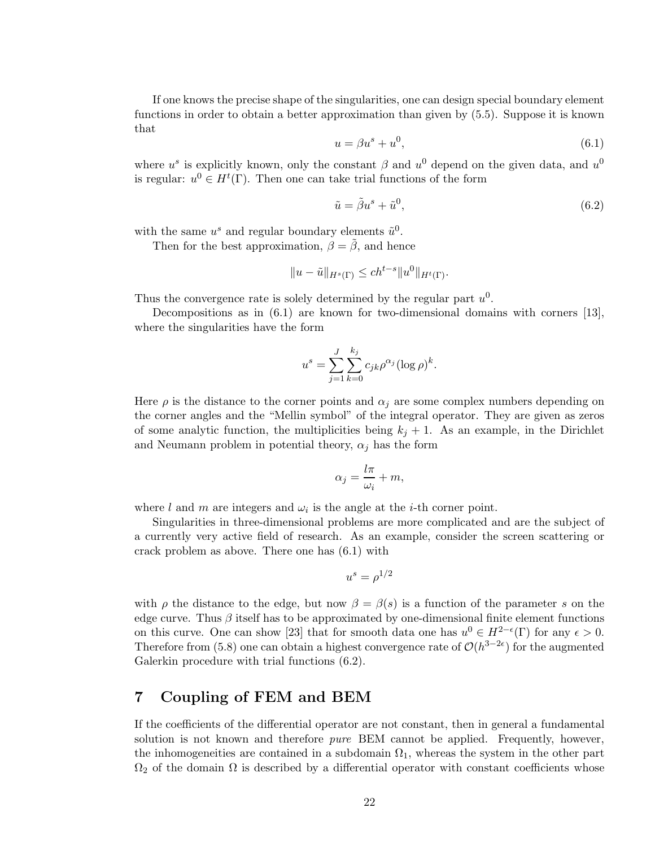If one knows the precise shape of the singularities, one can design special boundary element functions in order to obtain a better approximation than given by (5.5). Suppose it is known that

$$
u = \beta u^s + u^0,\tag{6.1}
$$

where  $u^s$  is explicitly known, only the constant  $\beta$  and  $u^0$  depend on the given data, and  $u^0$ is regular:  $u^0 \in H^t(\Gamma)$ . Then one can take trial functions of the form

$$
\tilde{u} = \tilde{\beta}u^s + \tilde{u}^0,\tag{6.2}
$$

with the same  $u^s$  and regular boundary elements  $\tilde{u}^0$ .

Then for the best approximation,  $\beta = \tilde{\beta}$ , and hence

$$
||u - \tilde{u}||_{H^s(\Gamma)} \le ch^{t-s} ||u^0||_{H^t(\Gamma)}.
$$

Thus the convergence rate is solely determined by the regular part  $u^0$ .

Decompositions as in (6.1) are known for two-dimensional domains with corners [13], where the singularities have the form

$$
u^{s} = \sum_{j=1}^{J} \sum_{k=0}^{k_{j}} c_{jk} \rho^{\alpha_{j}} (\log \rho)^{k}.
$$

Here  $\rho$  is the distance to the corner points and  $\alpha_i$  are some complex numbers depending on the corner angles and the "Mellin symbol" of the integral operator. They are given as zeros of some analytic function, the multiplicities being  $k_j + 1$ . As an example, in the Dirichlet and Neumann problem in potential theory,  $\alpha_i$  has the form

$$
\alpha_j = \frac{l\pi}{\omega_i} + m,
$$

where l and m are integers and  $\omega_i$  is the angle at the *i*-th corner point.

Singularities in three-dimensional problems are more complicated and are the subject of a currently very active field of research. As an example, consider the screen scattering or crack problem as above. There one has (6.1) with

$$
u^s = \rho^{1/2}
$$

with  $\rho$  the distance to the edge, but now  $\beta = \beta(s)$  is a function of the parameter s on the edge curve. Thus  $\beta$  itself has to be approximated by one-dimensional finite element functions on this curve. One can show [23] that for smooth data one has  $u^0 \in H^{2-\epsilon}(\Gamma)$  for any  $\epsilon > 0$ . Therefore from (5.8) one can obtain a highest convergence rate of  $\mathcal{O}(h^{3-2\epsilon})$  for the augmented Galerkin procedure with trial functions (6.2).

### 7 Coupling of FEM and BEM

If the coefficients of the differential operator are not constant, then in general a fundamental solution is not known and therefore *pure* BEM cannot be applied. Frequently, however, the inhomogeneities are contained in a subdomain  $\Omega_1$ , whereas the system in the other part  $\Omega_2$  of the domain  $\Omega$  is described by a differential operator with constant coefficients whose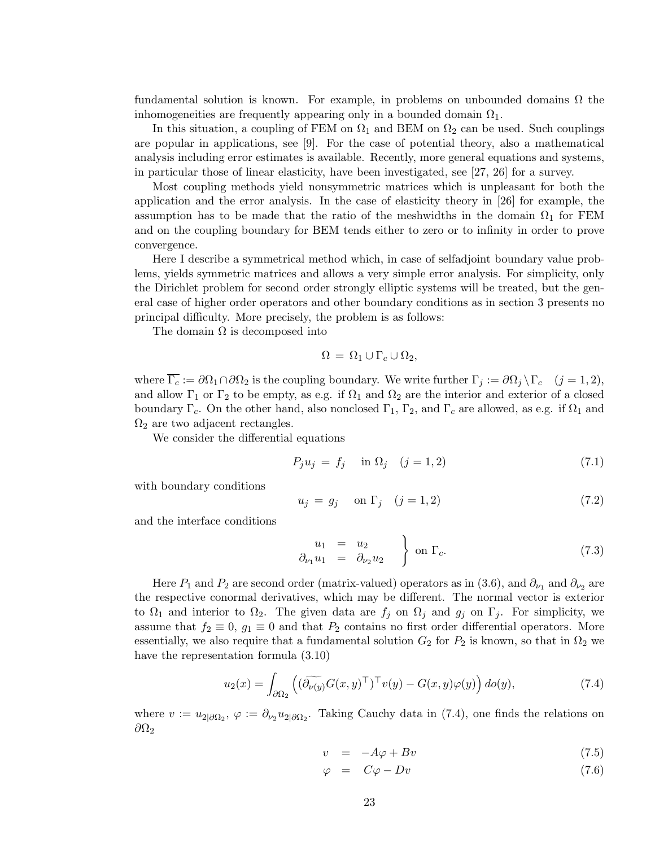fundamental solution is known. For example, in problems on unbounded domains  $\Omega$  the inhomogeneities are frequently appearing only in a bounded domain  $\Omega_1$ .

In this situation, a coupling of FEM on  $\Omega_1$  and BEM on  $\Omega_2$  can be used. Such couplings are popular in applications, see [9]. For the case of potential theory, also a mathematical analysis including error estimates is available. Recently, more general equations and systems, in particular those of linear elasticity, have been investigated, see [27, 26] for a survey.

Most coupling methods yield nonsymmetric matrices which is unpleasant for both the application and the error analysis. In the case of elasticity theory in [26] for example, the assumption has to be made that the ratio of the meshwidths in the domain  $\Omega_1$  for FEM and on the coupling boundary for BEM tends either to zero or to infinity in order to prove convergence.

Here I describe a symmetrical method which, in case of selfadjoint boundary value problems, yields symmetric matrices and allows a very simple error analysis. For simplicity, only the Dirichlet problem for second order strongly elliptic systems will be treated, but the general case of higher order operators and other boundary conditions as in section 3 presents no principal difficulty. More precisely, the problem is as follows:

The domain  $\Omega$  is decomposed into

$$
\Omega = \Omega_1 \cup \Gamma_c \cup \Omega_2,
$$

where  $\overline{\Gamma_c} := \partial \Omega_1 \cap \partial \Omega_2$  is the coupling boundary. We write further  $\Gamma_j := \partial \Omega_j \setminus \Gamma_c \quad (j = 1, 2)$ , and allow  $\Gamma_1$  or  $\Gamma_2$  to be empty, as e.g. if  $\Omega_1$  and  $\Omega_2$  are the interior and exterior of a closed boundary  $\Gamma_c$ . On the other hand, also nonclosed  $\Gamma_1$ ,  $\Gamma_2$ , and  $\Gamma_c$  are allowed, as e.g. if  $\Omega_1$  and  $\Omega_2$  are two adjacent rectangles.

We consider the differential equations

$$
P_j u_j = f_j \quad \text{in } \Omega_j \quad (j = 1, 2)
$$
\n
$$
(7.1)
$$

with boundary conditions

$$
u_j = g_j \quad \text{on } \Gamma_j \quad (j = 1, 2) \tag{7.2}
$$

and the interface conditions

$$
\begin{array}{rcl}\nu_1 & = & u_2 \\
\partial_{\nu_1} u_1 & = & \partial_{\nu_2} u_2\n\end{array}\n\bigg\} \text{ on } \Gamma_c.\n\tag{7.3}
$$

Here  $P_1$  and  $P_2$  are second order (matrix-valued) operators as in (3.6), and  $\partial_{\nu_1}$  and  $\partial_{\nu_2}$  are the respective conormal derivatives, which may be different. The normal vector is exterior to  $\Omega_1$  and interior to  $\Omega_2$ . The given data are  $f_j$  on  $\Omega_j$  and  $g_j$  on  $\Gamma_j$ . For simplicity, we assume that  $f_2 \equiv 0$ ,  $g_1 \equiv 0$  and that  $P_2$  contains no first order differential operators. More essentially, we also require that a fundamental solution  $G_2$  for  $P_2$  is known, so that in  $\Omega_2$  we have the representation formula (3.10)

$$
u_2(x) = \int_{\partial \Omega_2} \left( (\widetilde{\partial_{\nu(y)}} G(x, y)^\top)^\top v(y) - G(x, y)\varphi(y) \right) d\sigma(y), \tag{7.4}
$$

where  $v := u_{2|\partial \Omega_2}$ ,  $\varphi := \partial_{\nu_2} u_{2|\partial \Omega_2}$ . Taking Cauchy data in (7.4), one finds the relations on  $\partial\Omega_2$ 

$$
v = -A\varphi + Bv \tag{7.5}
$$

$$
\varphi = C\varphi - Dv \tag{7.6}
$$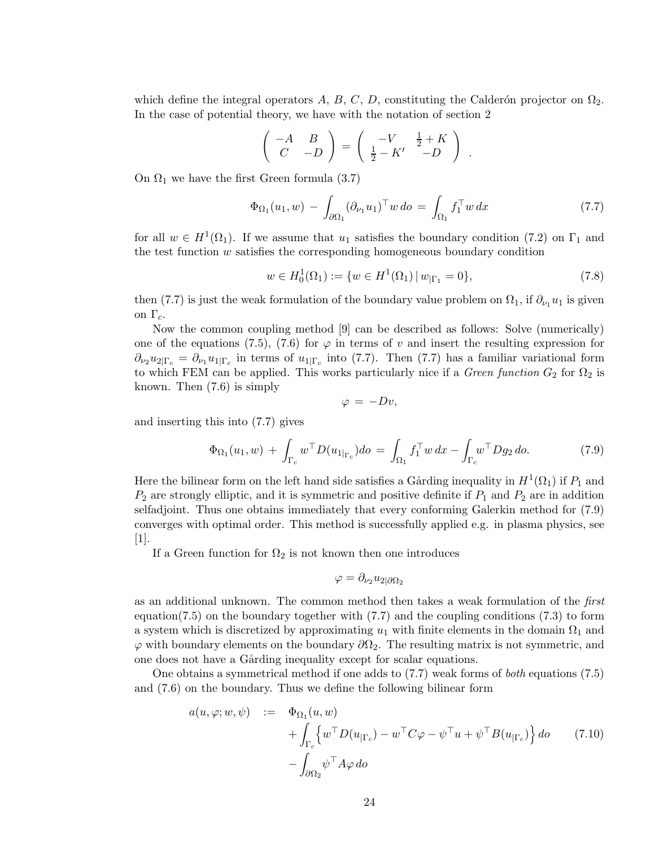which define the integral operators A, B, C, D, constituting the Calderón projector on  $\Omega_2$ . In the case of potential theory, we have with the notation of section 2

$$
\left(\begin{array}{cc} -A & B \\ C & -D \end{array}\right) = \left(\begin{array}{cc} -V & \frac{1}{2} + K \\ \frac{1}{2} - K' & -D \end{array}\right) .
$$

On  $\Omega_1$  we have the first Green formula (3.7)

$$
\Phi_{\Omega_1}(u_1, w) - \int_{\partial \Omega_1} (\partial_{\nu_1} u_1)^\top w \, do = \int_{\Omega_1} f_1^\top w \, dx \tag{7.7}
$$

for all  $w \in H^1(\Omega_1)$ . If we assume that  $u_1$  satisfies the boundary condition (7.2) on  $\Gamma_1$  and the test function  $w$  satisfies the corresponding homogeneous boundary condition

$$
w \in H_0^1(\Omega_1) := \{ w \in H^1(\Omega_1) \, | \, w_{|\Gamma_1} = 0 \},\tag{7.8}
$$

then (7.7) is just the weak formulation of the boundary value problem on  $\Omega_1$ , if  $\partial_{\nu_1} u_1$  is given on  $\Gamma_c$ .

Now the common coupling method [9] can be described as follows: Solve (numerically) one of the equations (7.5), (7.6) for  $\varphi$  in terms of v and insert the resulting expression for  $\partial_{\nu_2}u_{2|\Gamma_c} = \partial_{\nu_1}u_{1|\Gamma_c}$  in terms of  $u_{1|\Gamma_c}$  into (7.7). Then (7.7) has a familiar variational form to which FEM can be applied. This works particularly nice if a *Green function*  $G_2$  for  $\Omega_2$  is known. Then (7.6) is simply

$$
\varphi = -Dv,
$$

and inserting this into (7.7) gives

$$
\Phi_{\Omega_1}(u_1, w) + \int_{\Gamma_c} w^\top D(u_{1|_{\Gamma_c}}) do = \int_{\Omega_1} f_1^\top w \, dx - \int_{\Gamma_c} w^\top Dg_2 \, do. \tag{7.9}
$$

Here the bilinear form on the left hand side satisfies a Gårding inequality in  $H^1(\Omega_1)$  if  $P_1$  and  $P_2$  are strongly elliptic, and it is symmetric and positive definite if  $P_1$  and  $P_2$  are in addition selfadjoint. Thus one obtains immediately that every conforming Galerkin method for (7.9) converges with optimal order. This method is successfully applied e.g. in plasma physics, see [1].

If a Green function for  $\Omega_2$  is not known then one introduces

$$
\varphi = \partial_{\nu_2} u_{2|\partial\Omega_2}
$$

as an additional unknown. The common method then takes a weak formulation of the first equation(7.5) on the boundary together with  $(7.7)$  and the coupling conditions  $(7.3)$  to form a system which is discretized by approximating  $u_1$  with finite elements in the domain  $\Omega_1$  and  $\varphi$  with boundary elements on the boundary  $\partial\Omega_2$ . The resulting matrix is not symmetric, and one does not have a Gårding inequality except for scalar equations.

One obtains a symmetrical method if one adds to (7.7) weak forms of both equations (7.5) and (7.6) on the boundary. Thus we define the following bilinear form

$$
a(u, \varphi; w, \psi) := \Phi_{\Omega_1}(u, w)
$$
  
+ 
$$
\int_{\Gamma_c} \left\{ w^\top D(u_{|\Gamma_c}) - w^\top C \varphi - \psi^\top u + \psi^\top B(u_{|\Gamma_c}) \right\} d\sigma \qquad (7.10)
$$
  
- 
$$
\int_{\partial \Omega_2} \psi^\top A \varphi \, d\sigma
$$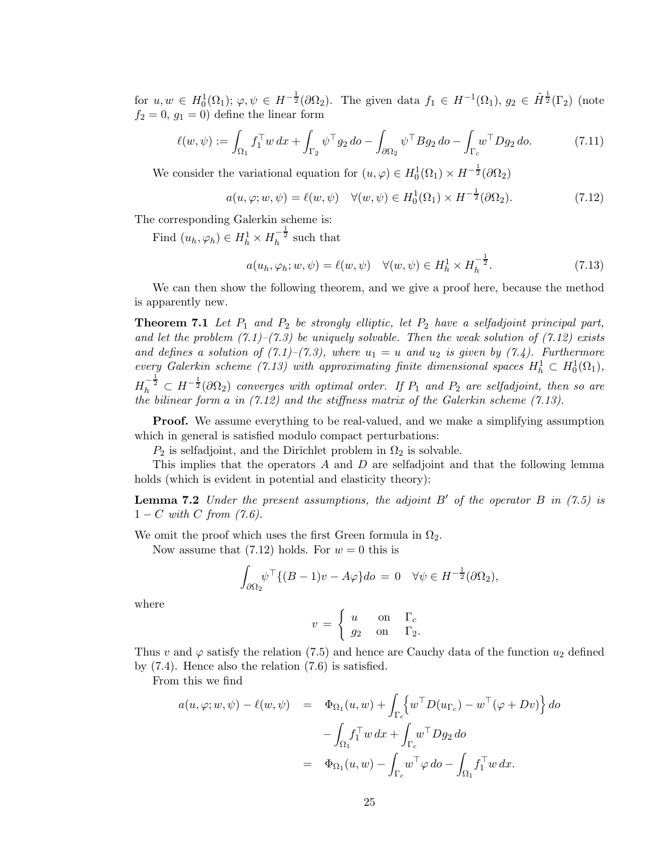for  $u, w \in H_0^1(\Omega_1)$ ;  $\varphi, \psi \in H^{-\frac{1}{2}}(\partial \Omega_2)$ . The given data  $f_1 \in H^{-1}(\Omega_1)$ ,  $g_2 \in \tilde{H}^{\frac{1}{2}}(\Gamma_2)$  (note  $f_2 = 0, g_1 = 0$  define the linear form

$$
\ell(w,\psi) := \int_{\Omega_1} f_1^{\top} w \, dx + \int_{\Gamma_2} \psi^{\top} g_2 \, do - \int_{\partial \Omega_2} \psi^{\top} B g_2 \, do - \int_{\Gamma_c} w^{\top} D g_2 \, do. \tag{7.11}
$$

We consider the variational equation for  $(u, \varphi) \in H_0^1(\Omega_1) \times H^{-\frac{1}{2}}(\partial \Omega_2)$ 

$$
a(u, \varphi; w, \psi) = \ell(w, \psi) \quad \forall (w, \psi) \in H_0^1(\Omega_1) \times H^{-\frac{1}{2}}(\partial \Omega_2). \tag{7.12}
$$

The corresponding Galerkin scheme is:

Find  $(u_h, \varphi_h) \in H_h^1 \times H_h^{-\frac{1}{2}}$  such that

$$
a(u_h, \varphi_h; w, \psi) = \ell(w, \psi) \quad \forall (w, \psi) \in H_h^1 \times H_h^{-\frac{1}{2}}.
$$
\n
$$
(7.13)
$$

We can then show the following theorem, and we give a proof here, because the method is apparently new.

**Theorem 7.1** Let  $P_1$  and  $P_2$  be strongly elliptic, let  $P_2$  have a selfadjoint principal part, and let the problem  $(7.1)$ – $(7.3)$  be uniquely solvable. Then the weak solution of  $(7.12)$  exists and defines a solution of  $(7.1)$ – $(7.3)$ , where  $u_1 = u$  and  $u_2$  is given by  $(7.4)$ . Furthermore every Galerkin scheme (7.13) with approximating finite dimensional spaces  $H_h^1 \subset H_0^1(\Omega_1)$ ,  $H_h^{-\frac{1}{2}} \subset H^{-\frac{1}{2}}(\partial \Omega_2)$  converges with optimal order. If  $P_1$  and  $P_2$  are selfadjoint, then so are the bilinear form a in (7.12) and the stiffness matrix of the Galerkin scheme (7.13).

**Proof.** We assume everything to be real-valued, and we make a simplifying assumption which in general is satisfied modulo compact perturbations:

 $P_2$  is selfadjoint, and the Dirichlet problem in  $\Omega_2$  is solvable.

This implies that the operators A and D are selfadjoint and that the following lemma holds (which is evident in potential and elasticity theory):

**Lemma 7.2** Under the present assumptions, the adjoint  $B'$  of the operator  $B$  in (7.5) is  $1 - C$  with C from  $(7.6)$ .

We omit the proof which uses the first Green formula in  $\Omega_2$ .

Now assume that  $(7.12)$  holds. For  $w = 0$  this is

$$
\int_{\partial\Omega_2} \psi^\top \{ (B-1)v - A\varphi \} do = 0 \quad \forall \psi \in H^{-\frac{1}{2}}(\partial\Omega_2),
$$

where

$$
v = \begin{cases} u & \text{on} \quad \Gamma_c \\ g_2 & \text{on} \quad \Gamma_2. \end{cases}
$$

Thus v and  $\varphi$  satisfy the relation (7.5) and hence are Cauchy data of the function  $u_2$  defined by (7.4). Hence also the relation (7.6) is satisfied.

From this we find

$$
a(u, \varphi; w, \psi) - \ell(w, \psi) = \Phi_{\Omega_1}(u, w) + \int_{\Gamma_c} \left\{ w^\top D(u_{\Gamma_c}) - w^\top (\varphi + Dv) \right\} do
$$

$$
- \int_{\Omega_1} f_1^\top w \, dx + \int_{\Gamma_c} w^\top Dg_2 \, do
$$

$$
= \Phi_{\Omega_1}(u, w) - \int_{\Gamma_c} w^\top \varphi \, do - \int_{\Omega_1} f_1^\top w \, dx.
$$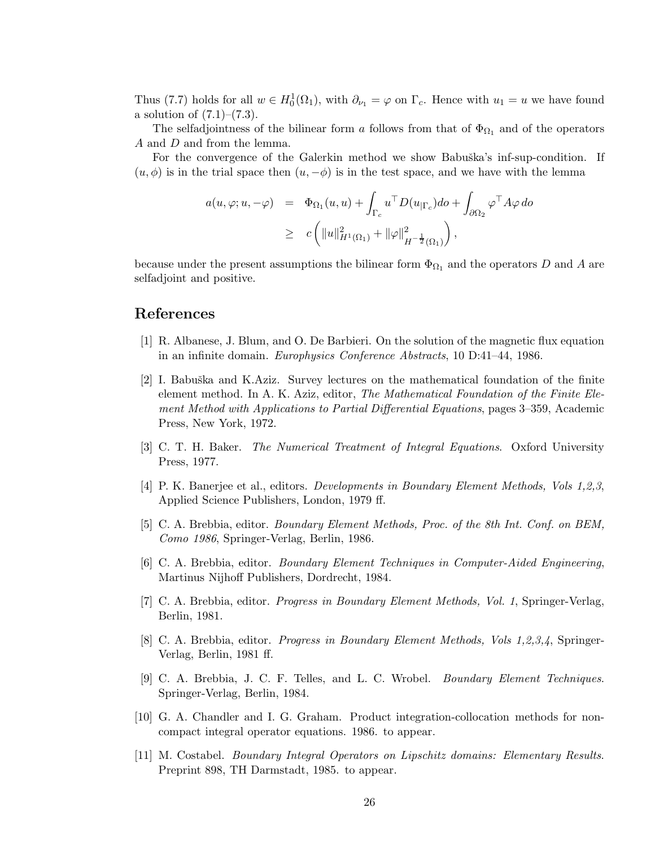Thus (7.7) holds for all  $w \in H_0^1(\Omega_1)$ , with  $\partial_{\nu_1} = \varphi$  on  $\Gamma_c$ . Hence with  $u_1 = u$  we have found a solution of  $(7.1)–(7.3)$ .

The selfadjointness of the bilinear form a follows from that of  $\Phi_{\Omega_1}$  and of the operators A and D and from the lemma.

For the convergence of the Galerkin method we show Babuška's inf-sup-condition. If  $(u, \phi)$  is in the trial space then  $(u, -\phi)$  is in the test space, and we have with the lemma

$$
a(u, \varphi; u, -\varphi) = \Phi_{\Omega_1}(u, u) + \int_{\Gamma_c} u^{\top} D(u_{|\Gamma_c}) do + \int_{\partial \Omega_2} \varphi^{\top} A \varphi do
$$
  
 
$$
\geq c \left( \|u\|_{H^1(\Omega_1)}^2 + \|\varphi\|_{H^{-\frac{1}{2}}(\Omega_1)}^2 \right),
$$

because under the present assumptions the bilinear form  $\Phi_{\Omega_1}$  and the operators D and A are selfadjoint and positive.

### References

- [1] R. Albanese, J. Blum, and O. De Barbieri. On the solution of the magnetic flux equation in an infinite domain. Europhysics Conference Abstracts, 10 D:41–44, 1986.
- [2] I. Babuška and K.Aziz. Survey lectures on the mathematical foundation of the finite element method. In A. K. Aziz, editor, The Mathematical Foundation of the Finite Element Method with Applications to Partial Differential Equations, pages 3–359, Academic Press, New York, 1972.
- [3] C. T. H. Baker. The Numerical Treatment of Integral Equations. Oxford University Press, 1977.
- [4] P. K. Banerjee et al., editors. Developments in Boundary Element Methods, Vols 1,2,3, Applied Science Publishers, London, 1979 ff.
- [5] C. A. Brebbia, editor. Boundary Element Methods, Proc. of the 8th Int. Conf. on BEM, Como 1986, Springer-Verlag, Berlin, 1986.
- [6] C. A. Brebbia, editor. Boundary Element Techniques in Computer-Aided Engineering, Martinus Nijhoff Publishers, Dordrecht, 1984.
- [7] C. A. Brebbia, editor. Progress in Boundary Element Methods, Vol. 1, Springer-Verlag, Berlin, 1981.
- [8] C. A. Brebbia, editor. Progress in Boundary Element Methods, Vols 1,2,3,4, Springer-Verlag, Berlin, 1981 ff.
- [9] C. A. Brebbia, J. C. F. Telles, and L. C. Wrobel. Boundary Element Techniques. Springer-Verlag, Berlin, 1984.
- [10] G. A. Chandler and I. G. Graham. Product integration-collocation methods for noncompact integral operator equations. 1986. to appear.
- [11] M. Costabel. Boundary Integral Operators on Lipschitz domains: Elementary Results. Preprint 898, TH Darmstadt, 1985. to appear.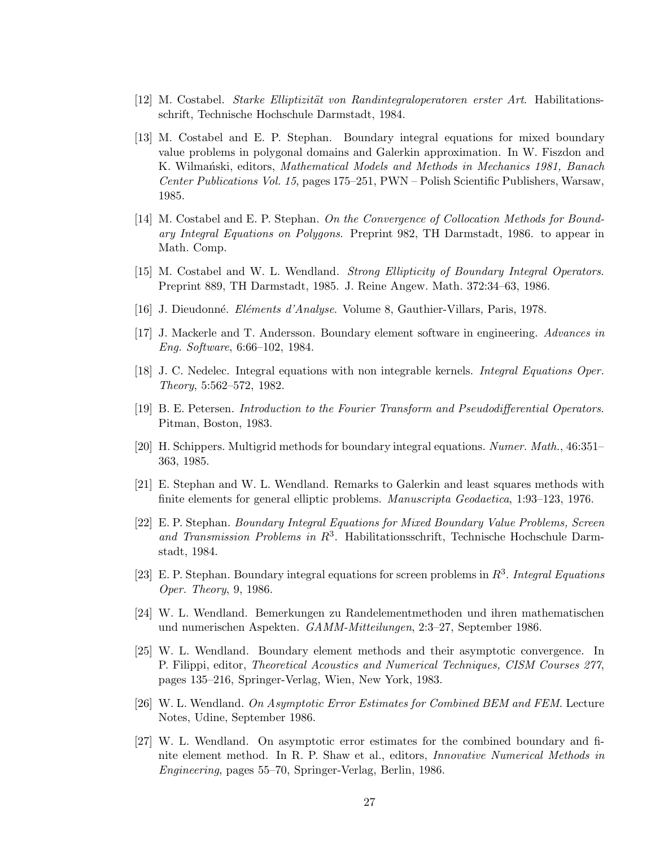- [12] M. Costabel. *Starke Elliptizität von Randintegraloperatoren erster Art*. Habilitationsschrift, Technische Hochschule Darmstadt, 1984.
- [13] M. Costabel and E. P. Stephan. Boundary integral equations for mixed boundary value problems in polygonal domains and Galerkin approximation. In W. Fiszdon and K. Wilmański, editors, *Mathematical Models and Methods in Mechanics 1981*, *Banach* Center Publications Vol. 15, pages 175–251, PWN – Polish Scientific Publishers, Warsaw, 1985.
- [14] M. Costabel and E. P. Stephan. On the Convergence of Collocation Methods for Boundary Integral Equations on Polygons. Preprint 982, TH Darmstadt, 1986. to appear in Math. Comp.
- [15] M. Costabel and W. L. Wendland. Strong Ellipticity of Boundary Integral Operators. Preprint 889, TH Darmstadt, 1985. J. Reine Angew. Math. 372:34–63, 1986.
- [16] J. Dieudonné. *Eléments d'Analyse*. Volume 8, Gauthier-Villars, Paris, 1978.
- [17] J. Mackerle and T. Andersson. Boundary element software in engineering. Advances in Eng. Software, 6:66–102, 1984.
- [18] J. C. Nedelec. Integral equations with non integrable kernels. Integral Equations Oper. Theory, 5:562–572, 1982.
- [19] B. E. Petersen. Introduction to the Fourier Transform and Pseudodifferential Operators. Pitman, Boston, 1983.
- [20] H. Schippers. Multigrid methods for boundary integral equations. Numer. Math., 46:351– 363, 1985.
- [21] E. Stephan and W. L. Wendland. Remarks to Galerkin and least squares methods with finite elements for general elliptic problems. Manuscripta Geodaetica, 1:93–123, 1976.
- [22] E. P. Stephan. Boundary Integral Equations for Mixed Boundary Value Problems, Screen and Transmission Problems in  $R^3$ . Habilitationsschrift, Technische Hochschule Darmstadt, 1984.
- [23] E. P. Stephan. Boundary integral equations for screen problems in  $R^3$ . Integral Equations Oper. Theory, 9, 1986.
- [24] W. L. Wendland. Bemerkungen zu Randelementmethoden und ihren mathematischen und numerischen Aspekten. GAMM-Mitteilungen, 2:3–27, September 1986.
- [25] W. L. Wendland. Boundary element methods and their asymptotic convergence. In P. Filippi, editor, Theoretical Acoustics and Numerical Techniques, CISM Courses 277, pages 135–216, Springer-Verlag, Wien, New York, 1983.
- [26] W. L. Wendland. On Asymptotic Error Estimates for Combined BEM and FEM. Lecture Notes, Udine, September 1986.
- [27] W. L. Wendland. On asymptotic error estimates for the combined boundary and finite element method. In R. P. Shaw et al., editors, Innovative Numerical Methods in Engineering, pages 55–70, Springer-Verlag, Berlin, 1986.